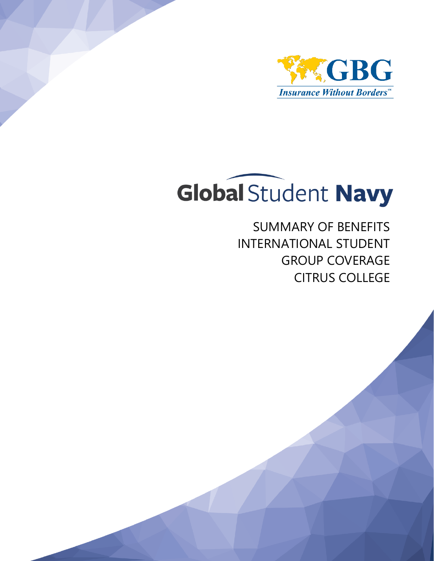



SUMMARY OF BENEFITS INTERNATIONAL STUDENT GROUP COVERAGE CITRUS COLLEGE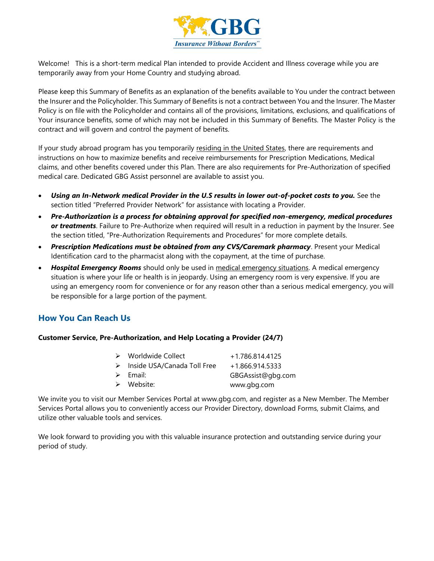

Welcome! This is a short-term medical Plan intended to provide Accident and Illness coverage while you are temporarily away from your Home Country and studying abroad.

Please keep this Summary of Benefits as an explanation of the benefits available to You under the contract between the Insurer and the Policyholder. This Summary of Benefits is not a contract between You and the Insurer. The Master Policy is on file with the Policyholder and contains all of the provisions, limitations, exclusions, and qualifications of Your insurance benefits, some of which may not be included in this Summary of Benefits. The Master Policy is the contract and will govern and control the payment of benefits.

If your study abroad program has you temporarily residing in the United States, there are requirements and instructions on how to maximize benefits and receive reimbursements for Prescription Medications, Medical claims, and other benefits covered under this Plan. There are also requirements for Pre-Authorization of specified medical care. Dedicated GBG Assist personnel are available to assist you.

- *Using an In-Network medical Provider in the U.S results in lower out-of-pocket costs to you.* See the section titled "Preferred Provider Network" for assistance with locating a Provider.
- *Pre-Authorization is a process for obtaining approval for specified non-emergency, medical procedures or treatments*. Failure to Pre-Authorize when required will result in a reduction in payment by the Insurer. See the section titled, "Pre-Authorization Requirements and Procedures" for more complete details.
- *Prescription Medications must be obtained from any CVS/Caremark pharmacy*. Present your Medical Identification card to the pharmacist along with the copayment, at the time of purchase.
- *Hospital Emergency Rooms* should only be used in medical emergency situations. A medical emergency situation is where your life or health is in jeopardy. Using an emergency room is very expensive. If you are using an emergency room for convenience or for any reason other than a serious medical emergency, you will be responsible for a large portion of the payment.

## **How You Can Reach Us**

#### **Customer Service, Pre-Authorization, and Help Locating a Provider (24/7)**

| $\triangleright$ Worldwide Collect | +1.786.814.4125   |
|------------------------------------|-------------------|
| > Inside USA/Canada Toll Free      | +1.866.914.5333   |
| $\triangleright$ Email:            | GBGAssist@gbg.com |
| $\triangleright$ Website:          | www.gbg.com       |
|                                    |                   |

We invite you to visit our Member Services Portal at www.gbg.com, and register as a New Member. The Member Services Portal allows you to conveniently access our Provider Directory, download Forms, submit Claims, and utilize other valuable tools and services.

We look forward to providing you with this valuable insurance protection and outstanding service during your period of study.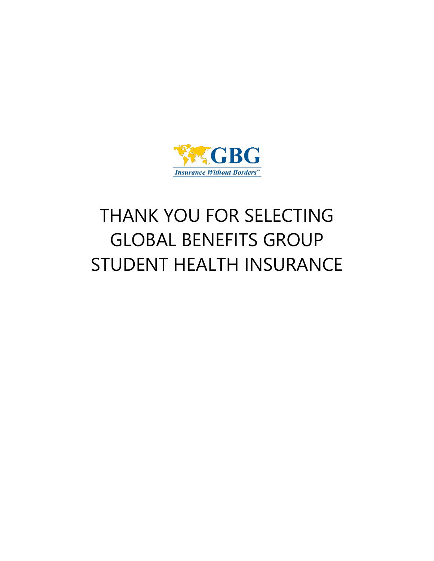

# THANK YOU FOR SELECTING GLOBAL BENEFITS GROUP STUDENT HEALTH INSURANCE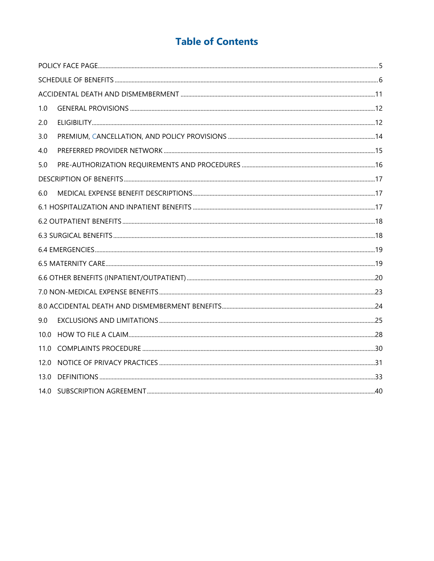## **Table of Contents**

| 1.0  |  |
|------|--|
| 2.0  |  |
| 3.0  |  |
| 4.0  |  |
| 5.0  |  |
|      |  |
| 6.0  |  |
|      |  |
|      |  |
|      |  |
|      |  |
|      |  |
|      |  |
|      |  |
|      |  |
| 9.0  |  |
| 10.0 |  |
| 11.0 |  |
| 12.0 |  |
| 13.0 |  |
| 14.0 |  |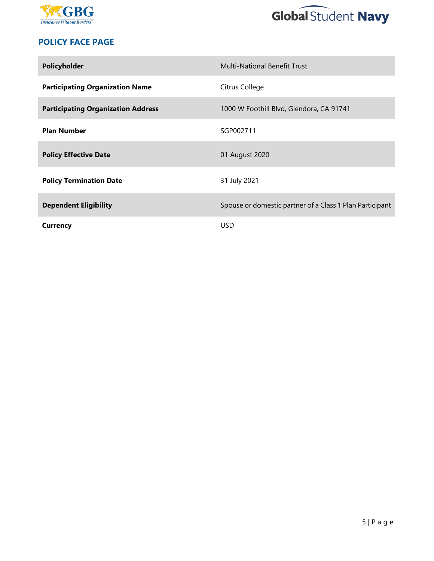



## **POLICY FACE PAGE**

| Policyholder                              | <b>Multi-National Benefit Trust</b>                      |
|-------------------------------------------|----------------------------------------------------------|
| <b>Participating Organization Name</b>    | Citrus College                                           |
| <b>Participating Organization Address</b> | 1000 W Foothill Blvd, Glendora, CA 91741                 |
| <b>Plan Number</b>                        | SGP002711                                                |
| <b>Policy Effective Date</b>              | 01 August 2020                                           |
| <b>Policy Termination Date</b>            | 31 July 2021                                             |
| <b>Dependent Eligibility</b>              | Spouse or domestic partner of a Class 1 Plan Participant |
| Currency                                  | <b>USD</b>                                               |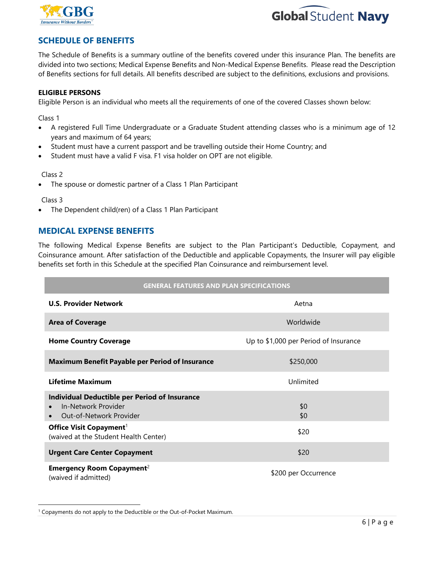



## **SCHEDULE OF BENEFITS**

The Schedule of Benefits is a summary outline of the benefits covered under this insurance Plan. The benefits are divided into two sections; Medical Expense Benefits and Non-Medical Expense Benefits. Please read the Description of Benefits sections for full details. All benefits described are subject to the definitions, exclusions and provisions.

#### **ELIGIBLE PERSONS**

Eligible Person is an individual who meets all the requirements of one of the covered Classes shown below:

Class 1

- A registered Full Time Undergraduate or a Graduate Student attending classes who is a minimum age of 12 years and maximum of 64 years;
- Student must have a current passport and be travelling outside their Home Country; and
- Student must have a valid F visa. F1 visa holder on OPT are not eligible.

#### Class 2

The spouse or domestic partner of a Class 1 Plan Participant

Class 3

The Dependent child(ren) of a Class 1 Plan Participant

#### **MEDICAL EXPENSE BENEFITS**

The following Medical Expense Benefits are subject to the Plan Participant's Deductible, Copayment, and Coinsurance amount. After satisfaction of the Deductible and applicable Copayments, the Insurer will pay eligible benefits set forth in this Schedule at the specified Plan Coinsurance and reimbursement level.

#### **GENERAL FEATURES AND PLAN SPECIFICATIONS**

| <b>U.S. Provider Network</b>                                                                                                                                                           | Aetna                                 |
|----------------------------------------------------------------------------------------------------------------------------------------------------------------------------------------|---------------------------------------|
| <b>Area of Coverage</b>                                                                                                                                                                | Worldwide                             |
| <b>Home Country Coverage</b>                                                                                                                                                           | Up to \$1,000 per Period of Insurance |
| <b>Maximum Benefit Payable per Period of Insurance</b>                                                                                                                                 | \$250,000                             |
| <b>Lifetime Maximum</b>                                                                                                                                                                | Unlimited                             |
| <b>Individual Deductible per Period of Insurance</b><br>In-Network Provider<br>Out-of-Network Provider<br>Office Visit Copayment <sup>1</sup><br>(waived at the Student Health Center) | \$0<br>\$0<br>\$20                    |
| <b>Urgent Care Center Copayment</b>                                                                                                                                                    | \$20                                  |
| <b>Emergency Room Copayment</b> <sup>2</sup><br>(waived if admitted)                                                                                                                   | \$200 per Occurrence                  |

<sup>1</sup> Copayments do not apply to the Deductible or the Out-of-Pocket Maximum.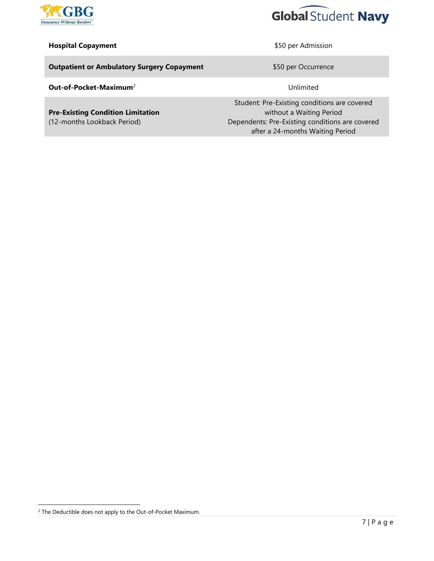



#### **Hospital Copayment All and Separate Separate SEC per Admission**

**Outpatient or Ambulatory Surgery Copayment Example 2018** \$50 per Occurrence

**Out-of-Pocket-Maximum<sup>2</sup> Unlimited** 

**Pre-Existing Condition Limitation** (12-months Lookback Period)

Student: Pre-Existing conditions are covered without a Waiting Period Dependents: Pre-Existing conditions are covered after a 24-months Waiting Period

 $2$  The Deductible does not apply to the Out-of-Pocket Maximum.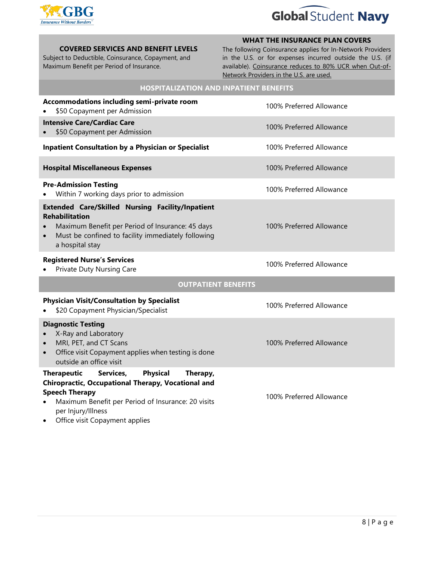

## **Global Student Navy**

#### **COVERED SERVICES AND BENEFIT LEVELS**

Subject to Deductible, Coinsurance, Copayment, and Maximum Benefit per Period of Insurance.

#### **WHAT THE INSURANCE PLAN COVERS**

The following Coinsurance applies for In-Network Providers in the U.S. or for expenses incurred outside the U.S. (if available). Coinsurance reduces to 80% UCR when Out-of-Network Providers in the U.S. are used.

| <b>HOSPITALIZATION AND INPATIENT BENEFITS</b>                                                                                                                                                                                                               |                          |  |  |
|-------------------------------------------------------------------------------------------------------------------------------------------------------------------------------------------------------------------------------------------------------------|--------------------------|--|--|
| Accommodations including semi-private room<br>\$50 Copayment per Admission                                                                                                                                                                                  | 100% Preferred Allowance |  |  |
| <b>Intensive Care/Cardiac Care</b><br>\$50 Copayment per Admission                                                                                                                                                                                          | 100% Preferred Allowance |  |  |
| <b>Inpatient Consultation by a Physician or Specialist</b>                                                                                                                                                                                                  | 100% Preferred Allowance |  |  |
| <b>Hospital Miscellaneous Expenses</b>                                                                                                                                                                                                                      | 100% Preferred Allowance |  |  |
| <b>Pre-Admission Testing</b><br>Within 7 working days prior to admission                                                                                                                                                                                    | 100% Preferred Allowance |  |  |
| <b>Extended Care/Skilled Nursing Facility/Inpatient</b><br><b>Rehabilitation</b><br>Maximum Benefit per Period of Insurance: 45 days<br>Must be confined to facility immediately following<br>$\bullet$<br>a hospital stay                                  | 100% Preferred Allowance |  |  |
| <b>Registered Nurse's Services</b><br>Private Duty Nursing Care                                                                                                                                                                                             | 100% Preferred Allowance |  |  |
| <b>OUTPATIENT BENEFITS</b>                                                                                                                                                                                                                                  |                          |  |  |
| <b>Physician Visit/Consultation by Specialist</b><br>\$20 Copayment Physician/Specialist                                                                                                                                                                    | 100% Preferred Allowance |  |  |
| <b>Diagnostic Testing</b><br>X-Ray and Laboratory<br>MRI, PET, and CT Scans<br>$\bullet$<br>Office visit Copayment applies when testing is done<br>$\bullet$<br>outside an office visit                                                                     | 100% Preferred Allowance |  |  |
| <b>Physical</b><br><b>Therapeutic</b><br>Services,<br>Therapy,<br>Chiropractic, Occupational Therapy, Vocational and<br><b>Speech Therapy</b><br>Maximum Benefit per Period of Insurance: 20 visits<br>per Injury/Illness<br>Office visit Copayment applies | 100% Preferred Allowance |  |  |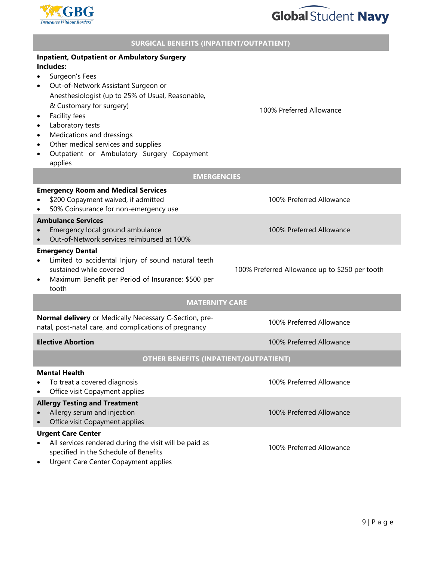



#### **SURGICAL BENEFITS (INPATIENT/OUTPATIENT)**

| <b>Inpatient, Outpatient or Ambulatory Surgery</b><br>Includes:                                                                                                                                                                                                                                                                                                           |                                                |  |  |
|---------------------------------------------------------------------------------------------------------------------------------------------------------------------------------------------------------------------------------------------------------------------------------------------------------------------------------------------------------------------------|------------------------------------------------|--|--|
| Surgeon's Fees<br>Out-of-Network Assistant Surgeon or<br>Anesthesiologist (up to 25% of Usual, Reasonable,<br>& Customary for surgery)<br>Facility fees<br>$\bullet$<br>Laboratory tests<br>$\bullet$<br>Medications and dressings<br>$\bullet$<br>Other medical services and supplies<br>$\bullet$<br>Outpatient or Ambulatory Surgery Copayment<br>$\bullet$<br>applies | 100% Preferred Allowance                       |  |  |
| <b>EMERGENCIES</b>                                                                                                                                                                                                                                                                                                                                                        |                                                |  |  |
| <b>Emergency Room and Medical Services</b><br>\$200 Copayment waived, if admitted<br>50% Coinsurance for non-emergency use                                                                                                                                                                                                                                                | 100% Preferred Allowance                       |  |  |
| <b>Ambulance Services</b><br>Emergency local ground ambulance<br>Out-of-Network services reimbursed at 100%<br>$\bullet$                                                                                                                                                                                                                                                  | 100% Preferred Allowance                       |  |  |
| <b>Emergency Dental</b><br>Limited to accidental Injury of sound natural teeth<br>sustained while covered<br>Maximum Benefit per Period of Insurance: \$500 per<br>tooth                                                                                                                                                                                                  | 100% Preferred Allowance up to \$250 per tooth |  |  |
| <b>MATERNITY CARE</b>                                                                                                                                                                                                                                                                                                                                                     |                                                |  |  |
| Normal delivery or Medically Necessary C-Section, pre-<br>100% Preferred Allowance<br>natal, post-natal care, and complications of pregnancy                                                                                                                                                                                                                              |                                                |  |  |
| <b>Elective Abortion</b>                                                                                                                                                                                                                                                                                                                                                  | 100% Preferred Allowance                       |  |  |
| <b>OTHER BENEFITS (INPATIENT/OUTPATIENT)</b>                                                                                                                                                                                                                                                                                                                              |                                                |  |  |
| <b>Mental Health</b><br>To treat a covered diagnosis<br>Office visit Copayment applies                                                                                                                                                                                                                                                                                    | 100% Preferred Allowance                       |  |  |
| <b>Allergy Testing and Treatment</b><br>Allergy serum and injection<br>Office visit Copayment applies                                                                                                                                                                                                                                                                     | 100% Preferred Allowance                       |  |  |
| <b>Urgent Care Center</b><br>All services rendered during the visit will be paid as<br>specified in the Schedule of Benefits<br>Urgent Care Center Copayment applies                                                                                                                                                                                                      | 100% Preferred Allowance                       |  |  |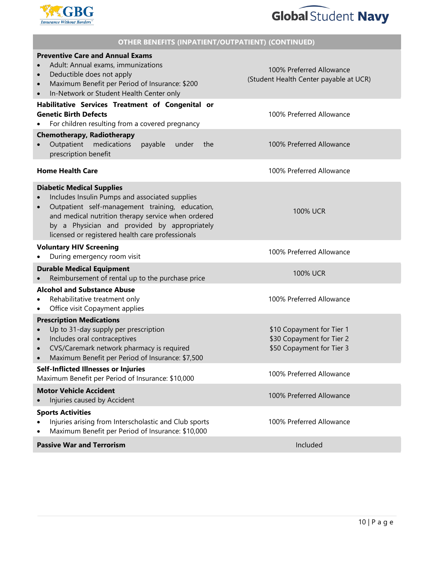

## **Global Student Navy**

| <b>OTHER BENEFITS (INPATIENT/OUTPATIENT) (CONTINUED)</b>                                                                                                                                                                                                                                                     |                                                                                     |  |  |
|--------------------------------------------------------------------------------------------------------------------------------------------------------------------------------------------------------------------------------------------------------------------------------------------------------------|-------------------------------------------------------------------------------------|--|--|
| <b>Preventive Care and Annual Exams</b><br>Adult: Annual exams, immunizations<br>Deductible does not apply<br>$\bullet$<br>Maximum Benefit per Period of Insurance: \$200<br>$\bullet$<br>In-Network or Student Health Center only<br>$\bullet$                                                              | 100% Preferred Allowance<br>(Student Health Center payable at UCR)                  |  |  |
| Habilitative Services Treatment of Congenital or<br><b>Genetic Birth Defects</b><br>For children resulting from a covered pregnancy                                                                                                                                                                          | 100% Preferred Allowance                                                            |  |  |
| <b>Chemotherapy, Radiotherapy</b><br>Outpatient<br>medications<br>payable<br>under<br>the<br>prescription benefit                                                                                                                                                                                            | 100% Preferred Allowance                                                            |  |  |
| <b>Home Health Care</b>                                                                                                                                                                                                                                                                                      | 100% Preferred Allowance                                                            |  |  |
| <b>Diabetic Medical Supplies</b><br>Includes Insulin Pumps and associated supplies<br>Outpatient self-management training, education,<br>$\bullet$<br>and medical nutrition therapy service when ordered<br>by a Physician and provided by appropriately<br>licensed or registered health care professionals | <b>100% UCR</b>                                                                     |  |  |
| <b>Voluntary HIV Screening</b><br>During emergency room visit                                                                                                                                                                                                                                                | 100% Preferred Allowance                                                            |  |  |
| <b>Durable Medical Equipment</b><br>Reimbursement of rental up to the purchase price                                                                                                                                                                                                                         | <b>100% UCR</b>                                                                     |  |  |
| <b>Alcohol and Substance Abuse</b><br>Rehabilitative treatment only<br>Office visit Copayment applies<br>٠                                                                                                                                                                                                   | 100% Preferred Allowance                                                            |  |  |
| <b>Prescription Medications</b><br>Up to 31-day supply per prescription<br>Includes oral contraceptives<br>CVS/Caremark network pharmacy is required<br>$\bullet$<br>Maximum Benefit per Period of Insurance: \$7,500                                                                                        | \$10 Copayment for Tier 1<br>\$30 Copayment for Tier 2<br>\$50 Copayment for Tier 3 |  |  |
| Self-Inflicted Illnesses or Injuries<br>Maximum Benefit per Period of Insurance: \$10,000                                                                                                                                                                                                                    | 100% Preferred Allowance                                                            |  |  |
| <b>Motor Vehicle Accident</b>                                                                                                                                                                                                                                                                                | 100% Preferred Allowance                                                            |  |  |
| Injuries caused by Accident                                                                                                                                                                                                                                                                                  |                                                                                     |  |  |
| <b>Sports Activities</b><br>Injuries arising from Interscholastic and Club sports<br>Maximum Benefit per Period of Insurance: \$10,000                                                                                                                                                                       | 100% Preferred Allowance                                                            |  |  |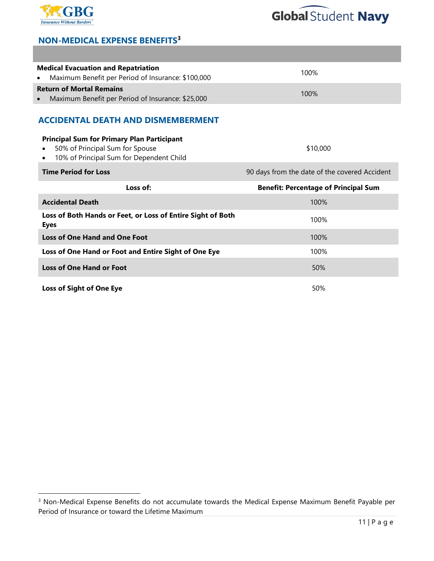



## **NON-MEDICAL EXPENSE BENEFITS<sup>3</sup>**

| <b>Medical Evacuation and Repatriation</b><br>Maximum Benefit per Period of Insurance: \$100,000<br>$\bullet$                                 | 100%                                          |  |  |
|-----------------------------------------------------------------------------------------------------------------------------------------------|-----------------------------------------------|--|--|
| <b>Return of Mortal Remains</b><br>Maximum Benefit per Period of Insurance: \$25,000                                                          | 100%                                          |  |  |
| <b>ACCIDENTAL DEATH AND DISMEMBERMENT</b>                                                                                                     |                                               |  |  |
| <b>Principal Sum for Primary Plan Participant</b><br>50% of Principal Sum for Spouse<br>10% of Principal Sum for Dependent Child<br>$\bullet$ | \$10,000                                      |  |  |
| <b>Time Period for Loss</b>                                                                                                                   | 90 days from the date of the covered Accident |  |  |
|                                                                                                                                               |                                               |  |  |
| Loss of:                                                                                                                                      | <b>Benefit: Percentage of Principal Sum</b>   |  |  |
| <b>Accidental Death</b>                                                                                                                       | 100%                                          |  |  |
| Loss of Both Hands or Feet, or Loss of Entire Sight of Both<br><b>Eyes</b>                                                                    | 100%                                          |  |  |
| <b>Loss of One Hand and One Foot</b>                                                                                                          | 100%                                          |  |  |
| Loss of One Hand or Foot and Entire Sight of One Eye                                                                                          | 100%                                          |  |  |
| <b>Loss of One Hand or Foot</b>                                                                                                               | 50%                                           |  |  |

<sup>3</sup> Non-Medical Expense Benefits do not accumulate towards the Medical Expense Maximum Benefit Payable per Period of Insurance or toward the Lifetime Maximum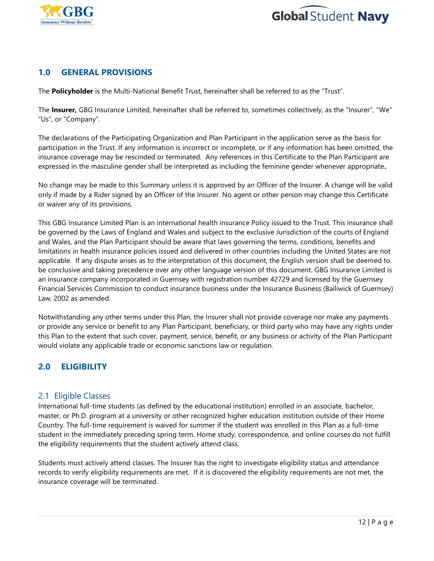



## **1.0 GENERAL PROVISIONS**

The **Policyholder** is the Multi-National Benefit Trust, hereinafter shall be referred to as the "Trust".

The **Insurer,** GBG Insurance Limited, hereinafter shall be referred to, sometimes collectively, as the "Insurer", "We" "Us", or "Company".

The declarations of the Participating Organization and Plan Participant in the application serve as the basis for participation in the Trust. If any information is incorrect or incomplete, or if any information has been omitted, the insurance coverage may be rescinded or terminated. Any references in this Certificate to the Plan Participant are expressed in the masculine gender shall be interpreted as including the feminine gender whenever appropriate**.**

No change may be made to this Summary unless it is approved by an Officer of the Insurer. A change will be valid only if made by a Rider signed by an Officer of the Insurer. No agent or other person may change this Certificate or waiver any of its provisions.

This GBG Insurance Limited Plan is an international health insurance Policy issued to the Trust. This insurance shall be governed by the Laws of England and Wales and subject to the exclusive Jurisdiction of the courts of England and Wales, and the Plan Participant should be aware that laws governing the terms, conditions, benefits and limitations in health insurance policies issued and delivered in other countries including the United States are not applicable. If any dispute arises as to the interpretation of this document, the English version shall be deemed to be conclusive and taking precedence over any other language version of this document. GBG Insurance Limited is an insurance company incorporated in Guernsey with registration number 42729 and licensed by the Guernsey Financial Services Commission to conduct insurance business under the Insurance Business (Bailiwick of Guernsey) Law, 2002 as amended.

Notwithstanding any other terms under this Plan, the Insurer shall not provide coverage nor make any payments or provide any service or benefit to any Plan Participant, beneficiary, or third party who may have any rights under this Plan to the extent that such cover, payment, service, benefit, or any business or activity of the Plan Participant would violate any applicable trade or economic sanctions law or regulation.

## **2.0 ELIGIBILITY**

#### 2.1 Eligible Classes

International full-time students (as defined by the educational institution) enrolled in an associate, bachelor, master, or Ph.D. program at a university or other recognized higher education institution outside of their Home Country. The full-time requirement is waived for summer if the student was enrolled in this Plan as a full-time student in the immediately preceding spring term. Home study, correspondence, and online courses do not fulfill the eligibility requirements that the student actively attend class.

Students must actively attend classes. The Insurer has the right to investigate eligibility status and attendance records to verify eligibility requirements are met. If it is discovered the eligibility requirements are not met, the insurance coverage will be terminated.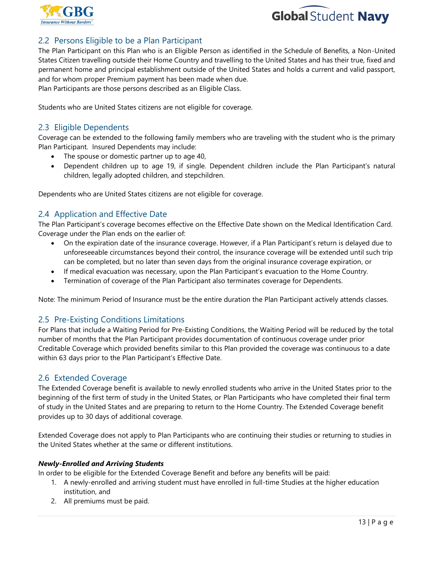



## 2.2 Persons Eligible to be a Plan Participant

The Plan Participant on this Plan who is an Eligible Person as identified in the Schedule of Benefits, a Non-United States Citizen travelling outside their Home Country and travelling to the United States and has their true, fixed and permanent home and principal establishment outside of the United States and holds a current and valid passport, and for whom proper Premium payment has been made when due. Plan Participants are those persons described as an Eligible Class.

Students who are United States citizens are not eligible for coverage.

#### 2.3 Eligible Dependents

Coverage can be extended to the following family members who are traveling with the student who is the primary Plan Participant. Insured Dependents may include:

- The spouse or domestic partner up to age 40,
- Dependent children up to age 19, if single. Dependent children include the Plan Participant's natural children, legally adopted children, and stepchildren.

Dependents who are United States citizens are not eligible for coverage.

## 2.4 Application and Effective Date

The Plan Participant's coverage becomes effective on the Effective Date shown on the Medical Identification Card. Coverage under the Plan ends on the earlier of:

- On the expiration date of the insurance coverage. However, if a Plan Participant's return is delayed due to unforeseeable circumstances beyond their control, the insurance coverage will be extended until such trip can be completed, but no later than seven days from the original insurance coverage expiration, or
- If medical evacuation was necessary, upon the Plan Participant's evacuation to the Home Country.
- Termination of coverage of the Plan Participant also terminates coverage for Dependents.

Note: The minimum Period of Insurance must be the entire duration the Plan Participant actively attends classes.

#### 2.5 Pre-Existing Conditions Limitations

For Plans that include a Waiting Period for Pre-Existing Conditions, the Waiting Period will be reduced by the total number of months that the Plan Participant provides documentation of continuous coverage under prior Creditable Coverage which provided benefits similar to this Plan provided the coverage was continuous to a date within 63 days prior to the Plan Participant's Effective Date.

#### 2.6 Extended Coverage

The Extended Coverage benefit is available to newly enrolled students who arrive in the United States prior to the beginning of the first term of study in the United States, or Plan Participants who have completed their final term of study in the United States and are preparing to return to the Home Country. The Extended Coverage benefit provides up to 30 days of additional coverage.

Extended Coverage does not apply to Plan Participants who are continuing their studies or returning to studies in the United States whether at the same or different institutions.

#### *Newly-Enrolled and Arriving Students*

In order to be eligible for the Extended Coverage Benefit and before any benefits will be paid:

- 1. A newly-enrolled and arriving student must have enrolled in full-time Studies at the higher education institution, and
- 2. All premiums must be paid.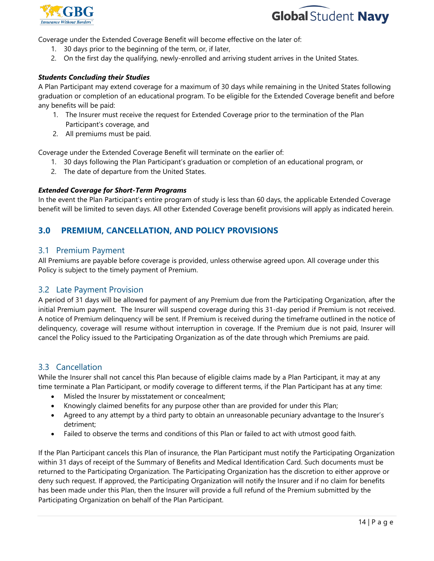



Coverage under the Extended Coverage Benefit will become effective on the later of:

- 1. 30 days prior to the beginning of the term, or, if later,
- 2. On the first day the qualifying, newly-enrolled and arriving student arrives in the United States.

#### *Students Concluding their Studies*

A Plan Participant may extend coverage for a maximum of 30 days while remaining in the United States following graduation or completion of an educational program. To be eligible for the Extended Coverage benefit and before any benefits will be paid:

- 1. The Insurer must receive the request for Extended Coverage prior to the termination of the Plan Participant's coverage, and
- 2. All premiums must be paid.

Coverage under the Extended Coverage Benefit will terminate on the earlier of:

- 1. 30 days following the Plan Participant's graduation or completion of an educational program, or
- 2. The date of departure from the United States.

#### *Extended Coverage for Short-Term Programs*

In the event the Plan Participant's entire program of study is less than 60 days, the applicable Extended Coverage benefit will be limited to seven days. All other Extended Coverage benefit provisions will apply as indicated herein.

## **3.0 PREMIUM, CANCELLATION, AND POLICY PROVISIONS**

#### 3.1 Premium Payment

All Premiums are payable before coverage is provided, unless otherwise agreed upon. All coverage under this Policy is subject to the timely payment of Premium.

#### 3.2 Late Payment Provision

A period of 31 days will be allowed for payment of any Premium due from the Participating Organization, after the initial Premium payment. The Insurer will suspend coverage during this 31-day period if Premium is not received. A notice of Premium delinquency will be sent. If Premium is received during the timeframe outlined in the notice of delinquency, coverage will resume without interruption in coverage. If the Premium due is not paid, Insurer will cancel the Policy issued to the Participating Organization as of the date through which Premiums are paid.

#### 3.3 Cancellation

While the Insurer shall not cancel this Plan because of eligible claims made by a Plan Participant, it may at any time terminate a Plan Participant, or modify coverage to different terms, if the Plan Participant has at any time:

- Misled the Insurer by misstatement or concealment;
- Knowingly claimed benefits for any purpose other than are provided for under this Plan;
- Agreed to any attempt by a third party to obtain an unreasonable pecuniary advantage to the Insurer's detriment;
- Failed to observe the terms and conditions of this Plan or failed to act with utmost good faith.

If the Plan Participant cancels this Plan of insurance, the Plan Participant must notify the Participating Organization within 31 days of receipt of the Summary of Benefits and Medical Identification Card. Such documents must be returned to the Participating Organization. The Participating Organization has the discretion to either approve or deny such request. If approved, the Participating Organization will notify the Insurer and if no claim for benefits has been made under this Plan, then the Insurer will provide a full refund of the Premium submitted by the Participating Organization on behalf of the Plan Participant.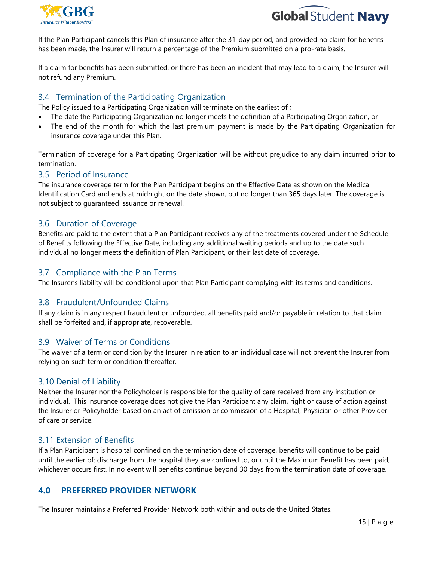



If the Plan Participant cancels this Plan of insurance after the 31-day period, and provided no claim for benefits has been made, the Insurer will return a percentage of the Premium submitted on a pro-rata basis.

If a claim for benefits has been submitted, or there has been an incident that may lead to a claim, the Insurer will not refund any Premium.

## 3.4 Termination of the Participating Organization

The Policy issued to a Participating Organization will terminate on the earliest of ;

- The date the Participating Organization no longer meets the definition of a Participating Organization, or
- The end of the month for which the last premium payment is made by the Participating Organization for insurance coverage under this Plan.

Termination of coverage for a Participating Organization will be without prejudice to any claim incurred prior to termination.

#### 3.5 Period of Insurance

The insurance coverage term for the Plan Participant begins on the Effective Date as shown on the Medical Identification Card and ends at midnight on the date shown, but no longer than 365 days later. The coverage is not subject to guaranteed issuance or renewal.

#### 3.6 Duration of Coverage

Benefits are paid to the extent that a Plan Participant receives any of the treatments covered under the Schedule of Benefits following the Effective Date, including any additional waiting periods and up to the date such individual no longer meets the definition of Plan Participant, or their last date of coverage.

#### 3.7 Compliance with the Plan Terms

The Insurer's liability will be conditional upon that Plan Participant complying with its terms and conditions.

#### 3.8 Fraudulent/Unfounded Claims

If any claim is in any respect fraudulent or unfounded, all benefits paid and/or payable in relation to that claim shall be forfeited and, if appropriate, recoverable.

#### 3.9 Waiver of Terms or Conditions

The waiver of a term or condition by the Insurer in relation to an individual case will not prevent the Insurer from relying on such term or condition thereafter.

#### 3.10 Denial of Liability

Neither the Insurer nor the Policyholder is responsible for the quality of care received from any institution or individual. This insurance coverage does not give the Plan Participant any claim, right or cause of action against the Insurer or Policyholder based on an act of omission or commission of a Hospital, Physician or other Provider of care or service.

#### 3.11 Extension of Benefits

If a Plan Participant is hospital confined on the termination date of coverage, benefits will continue to be paid until the earlier of: discharge from the hospital they are confined to, or until the Maximum Benefit has been paid, whichever occurs first. In no event will benefits continue beyond 30 days from the termination date of coverage.

## **4.0 PREFERRED PROVIDER NETWORK**

The Insurer maintains a Preferred Provider Network both within and outside the United States.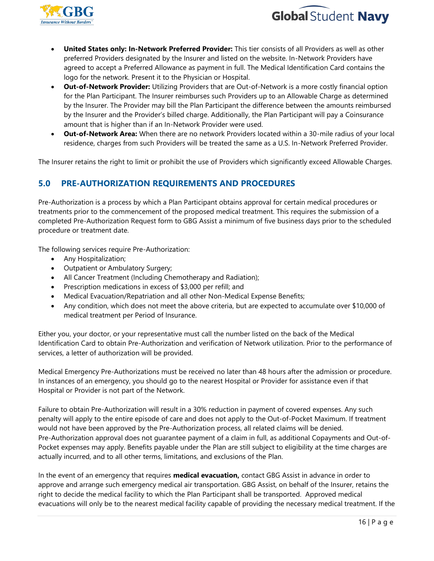



- **United States only: In-Network Preferred Provider:** This tier consists of all Providers as well as other preferred Providers designated by the Insurer and listed on the website. In-Network Providers have agreed to accept a Preferred Allowance as payment in full. The Medical Identification Card contains the logo for the network. Present it to the Physician or Hospital.
- **Out-of-Network Provider:** Utilizing Providers that are Out-of-Network is a more costly financial option for the Plan Participant. The Insurer reimburses such Providers up to an Allowable Charge as determined by the Insurer. The Provider may bill the Plan Participant the difference between the amounts reimbursed by the Insurer and the Provider's billed charge. Additionally, the Plan Participant will pay a Coinsurance amount that is higher than if an In-Network Provider were used.
- **Out-of-Network Area:** When there are no network Providers located within a 30-mile radius of your local residence, charges from such Providers will be treated the same as a U.S. In-Network Preferred Provider.

The Insurer retains the right to limit or prohibit the use of Providers which significantly exceed Allowable Charges.

## **5.0 PRE-AUTHORIZATION REQUIREMENTS AND PROCEDURES**

Pre-Authorization is a process by which a Plan Participant obtains approval for certain medical procedures or treatments prior to the commencement of the proposed medical treatment. This requires the submission of a completed Pre-Authorization Request form to GBG Assist a minimum of five business days prior to the scheduled procedure or treatment date.

The following services require Pre-Authorization:

- Any Hospitalization;
- Outpatient or Ambulatory Surgery;
- All Cancer Treatment (Including Chemotherapy and Radiation);
- Prescription medications in excess of \$3,000 per refill; and
- Medical Evacuation/Repatriation and all other Non-Medical Expense Benefits;
- Any condition, which does not meet the above criteria, but are expected to accumulate over \$10,000 of medical treatment per Period of Insurance.

Either you, your doctor, or your representative must call the number listed on the back of the Medical Identification Card to obtain Pre-Authorization and verification of Network utilization. Prior to the performance of services, a letter of authorization will be provided.

Medical Emergency Pre-Authorizations must be received no later than 48 hours after the admission or procedure. In instances of an emergency, you should go to the nearest Hospital or Provider for assistance even if that Hospital or Provider is not part of the Network.

Failure to obtain Pre-Authorization will result in a 30% reduction in payment of covered expenses. Any such penalty will apply to the entire episode of care and does not apply to the Out-of-Pocket Maximum. If treatment would not have been approved by the Pre-Authorization process, all related claims will be denied. Pre-Authorization approval does not guarantee payment of a claim in full, as additional Copayments and Out-of-Pocket expenses may apply. Benefits payable under the Plan are still subject to eligibility at the time charges are actually incurred, and to all other terms, limitations, and exclusions of the Plan.

In the event of an emergency that requires **medical evacuation,** contact GBG Assist in advance in order to approve and arrange such emergency medical air transportation. GBG Assist, on behalf of the Insurer, retains the right to decide the medical facility to which the Plan Participant shall be transported. Approved medical evacuations will only be to the nearest medical facility capable of providing the necessary medical treatment. If the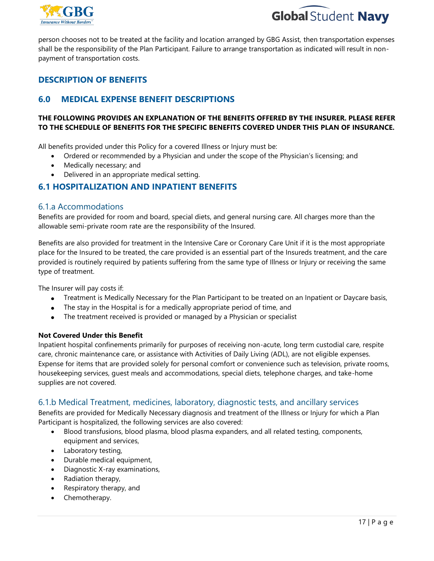



person chooses not to be treated at the facility and location arranged by GBG Assist, then transportation expenses shall be the responsibility of the Plan Participant. Failure to arrange transportation as indicated will result in nonpayment of transportation costs.

## **DESCRIPTION OF BENEFITS**

## **6.0 MEDICAL EXPENSE BENEFIT DESCRIPTIONS**

#### **THE FOLLOWING PROVIDES AN EXPLANATION OF THE BENEFITS OFFERED BY THE INSURER. PLEASE REFER TO THE SCHEDULE OF BENEFITS FOR THE SPECIFIC BENEFITS COVERED UNDER THIS PLAN OF INSURANCE.**

All benefits provided under this Policy for a covered Illness or Injury must be:

- Ordered or recommended by a Physician and under the scope of the Physician's licensing; and
- Medically necessary; and
- Delivered in an appropriate medical setting.

## **6.1 HOSPITALIZATION AND INPATIENT BENEFITS**

#### 6.1.a Accommodations

Benefits are provided for room and board, special diets, and general nursing care. All charges more than the allowable semi-private room rate are the responsibility of the Insured.

Benefits are also provided for treatment in the Intensive Care or Coronary Care Unit if it is the most appropriate place for the Insured to be treated, the care provided is an essential part of the Insureds treatment, and the care provided is routinely required by patients suffering from the same type of Illness or Injury or receiving the same type of treatment.

The Insurer will pay costs if:

- Treatment is Medically Necessary for the Plan Participant to be treated on an Inpatient or Daycare basis,
- The stay in the Hospital is for a medically appropriate period of time, and
- The treatment received is provided or managed by a Physician or specialist

#### **Not Covered Under this Benefit**

Inpatient hospital confinements primarily for purposes of receiving non-acute, long term custodial care, respite care, chronic maintenance care, or assistance with Activities of Daily Living (ADL), are not eligible expenses. Expense for items that are provided solely for personal comfort or convenience such as television, private rooms, housekeeping services, guest meals and accommodations, special diets, telephone charges, and take-home supplies are not covered.

#### 6.1.b Medical Treatment, medicines, laboratory, diagnostic tests, and ancillary services

Benefits are provided for Medically Necessary diagnosis and treatment of the Illness or Injury for which a Plan Participant is hospitalized, the following services are also covered:

- Blood transfusions, blood plasma, blood plasma expanders, and all related testing, components, equipment and services,
- Laboratory testing,
- Durable medical equipment,
- Diagnostic X-ray examinations,
- Radiation therapy,
- Respiratory therapy, and
- Chemotherapy.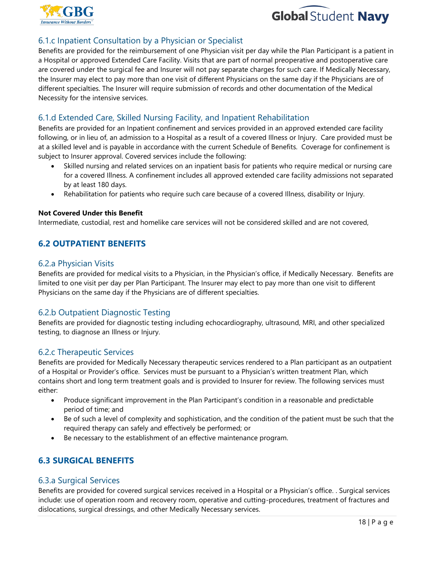



## 6.1.c Inpatient Consultation by a Physician or Specialist

Benefits are provided for the reimbursement of one Physician visit per day while the Plan Participant is a patient in a Hospital or approved Extended Care Facility. Visits that are part of normal preoperative and postoperative care are covered under the surgical fee and Insurer will not pay separate charges for such care. If Medically Necessary, the Insurer may elect to pay more than one visit of different Physicians on the same day if the Physicians are of different specialties. The Insurer will require submission of records and other documentation of the Medical Necessity for the intensive services.

## 6.1.d Extended Care, Skilled Nursing Facility, and Inpatient Rehabilitation

Benefits are provided for an Inpatient confinement and services provided in an approved extended care facility following, or in lieu of, an admission to a Hospital as a result of a covered Illness or Injury. Care provided must be at a skilled level and is payable in accordance with the current Schedule of Benefits. Coverage for confinement is subject to Insurer approval. Covered services include the following:

- Skilled nursing and related services on an inpatient basis for patients who require medical or nursing care for a covered Illness. A confinement includes all approved extended care facility admissions not separated by at least 180 days.
- Rehabilitation for patients who require such care because of a covered Illness, disability or Injury.

#### **Not Covered Under this Benefit**

Intermediate, custodial, rest and homelike care services will not be considered skilled and are not covered,

## **6.2 OUTPATIENT BENEFITS**

#### 6.2.a Physician Visits

Benefits are provided for medical visits to a Physician, in the Physician's office, if Medically Necessary. Benefits are limited to one visit per day per Plan Participant. The Insurer may elect to pay more than one visit to different Physicians on the same day if the Physicians are of different specialties.

#### 6.2.b Outpatient Diagnostic Testing

Benefits are provided for diagnostic testing including echocardiography, ultrasound, MRI, and other specialized testing, to diagnose an Illness or Injury.

#### 6.2.c Therapeutic Services

Benefits are provided for Medically Necessary therapeutic services rendered to a Plan participant as an outpatient of a Hospital or Provider's office. Services must be pursuant to a Physician's written treatment Plan, which contains short and long term treatment goals and is provided to Insurer for review. The following services must either:

- Produce significant improvement in the Plan Participant's condition in a reasonable and predictable period of time; and
- Be of such a level of complexity and sophistication, and the condition of the patient must be such that the required therapy can safely and effectively be performed; or
- Be necessary to the establishment of an effective maintenance program.

## **6.3 SURGICAL BENEFITS**

#### 6.3.a Surgical Services

Benefits are provided for covered surgical services received in a Hospital or a Physician's office. . Surgical services include: use of operation room and recovery room, operative and cutting-procedures, treatment of fractures and dislocations, surgical dressings, and other Medically Necessary services.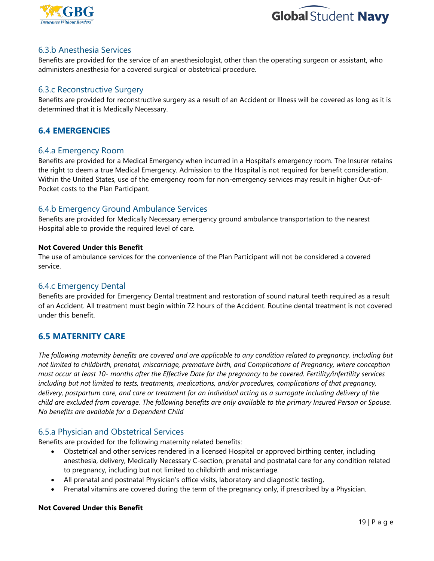



### 6.3.b Anesthesia Services

Benefits are provided for the service of an anesthesiologist, other than the operating surgeon or assistant, who administers anesthesia for a covered surgical or obstetrical procedure.

## 6.3.c Reconstructive Surgery

Benefits are provided for reconstructive surgery as a result of an Accident or Illness will be covered as long as it is determined that it is Medically Necessary.

## **6.4 EMERGENCIES**

#### 6.4.a Emergency Room

Benefits are provided for a Medical Emergency when incurred in a Hospital's emergency room. The Insurer retains the right to deem a true Medical Emergency. Admission to the Hospital is not required for benefit consideration. Within the United States, use of the emergency room for non-emergency services may result in higher Out-of-Pocket costs to the Plan Participant.

#### 6.4.b Emergency Ground Ambulance Services

Benefits are provided for Medically Necessary emergency ground ambulance transportation to the nearest Hospital able to provide the required level of care.

#### **Not Covered Under this Benefit**

The use of ambulance services for the convenience of the Plan Participant will not be considered a covered service.

#### 6.4.c Emergency Dental

Benefits are provided for Emergency Dental treatment and restoration of sound natural teeth required as a result of an Accident. All treatment must begin within 72 hours of the Accident. Routine dental treatment is not covered under this benefit.

## **6.5 MATERNITY CARE**

*The following maternity benefits are covered and are applicable to any condition related to pregnancy, including but not limited to childbirth, prenatal, miscarriage, premature birth, and Complications of Pregnancy, where conception must occur at least 10- months after the Effective Date for the pregnancy to be covered. Fertility/infertility services including but not limited to tests, treatments, medications, and/or procedures, complications of that pregnancy, delivery, postpartum care, and care or treatment for an individual acting as a surrogate including delivery of the child are excluded from coverage. The following benefits are only available to the primary Insured Person or Spouse. No benefits are available for a Dependent Child*

## 6.5.a Physician and Obstetrical Services

Benefits are provided for the following maternity related benefits:

- Obstetrical and other services rendered in a licensed Hospital or approved birthing center, including anesthesia, delivery, Medically Necessary C-section, prenatal and postnatal care for any condition related to pregnancy, including but not limited to childbirth and miscarriage.
- All prenatal and postnatal Physician's office visits, laboratory and diagnostic testing,
- Prenatal vitamins are covered during the term of the pregnancy only, if prescribed by a Physician.

#### **Not Covered Under this Benefit**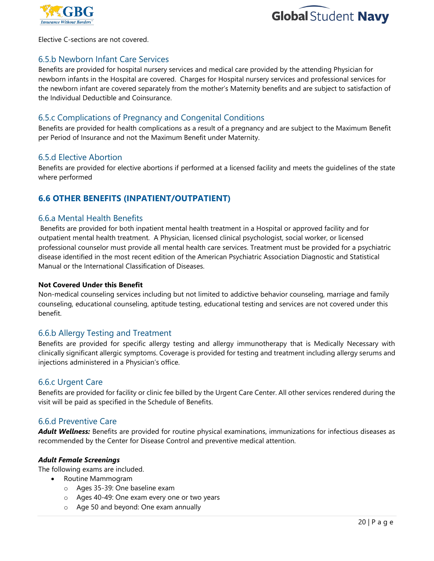



Elective C-sections are not covered.

#### 6.5.b Newborn Infant Care Services

Benefits are provided for hospital nursery services and medical care provided by the attending Physician for newborn infants in the Hospital are covered. Charges for Hospital nursery services and professional services for the newborn infant are covered separately from the mother's Maternity benefits and are subject to satisfaction of the Individual Deductible and Coinsurance.

#### 6.5.c Complications of Pregnancy and Congenital Conditions

Benefits are provided for health complications as a result of a pregnancy and are subject to the Maximum Benefit per Period of Insurance and not the Maximum Benefit under Maternity.

#### 6.5.d Elective Abortion

Benefits are provided for elective abortions if performed at a licensed facility and meets the guidelines of the state where performed

## **6.6 OTHER BENEFITS (INPATIENT/OUTPATIENT)**

#### 6.6.a Mental Health Benefits

Benefits are provided for both inpatient mental health treatment in a Hospital or approved facility and for outpatient mental health treatment. A Physician, licensed clinical psychologist, social worker, or licensed professional counselor must provide all mental health care services. Treatment must be provided for a psychiatric disease identified in the most recent edition of the American Psychiatric Association Diagnostic and Statistical Manual or the International Classification of Diseases.

#### **Not Covered Under this Benefit**

Non-medical counseling services including but not limited to addictive behavior counseling, marriage and family counseling, educational counseling, aptitude testing, educational testing and services are not covered under this benefit.

#### 6.6.b Allergy Testing and Treatment

Benefits are provided for specific allergy testing and allergy immunotherapy that is Medically Necessary with clinically significant allergic symptoms. Coverage is provided for testing and treatment including allergy serums and injections administered in a Physician's office.

#### 6.6.c Urgent Care

Benefits are provided for facility or clinic fee billed by the Urgent Care Center. All other services rendered during the visit will be paid as specified in the Schedule of Benefits.

#### 6.6.d Preventive Care

*Adult Wellness:* Benefits are provided for routine physical examinations, immunizations for infectious diseases as recommended by the Center for Disease Control and preventive medical attention.

#### *Adult Female Screenings*

The following exams are included.

- Routine Mammogram
	- o Ages 35-39: One baseline exam
	- o Ages 40-49: One exam every one or two years
	- o Age 50 and beyond: One exam annually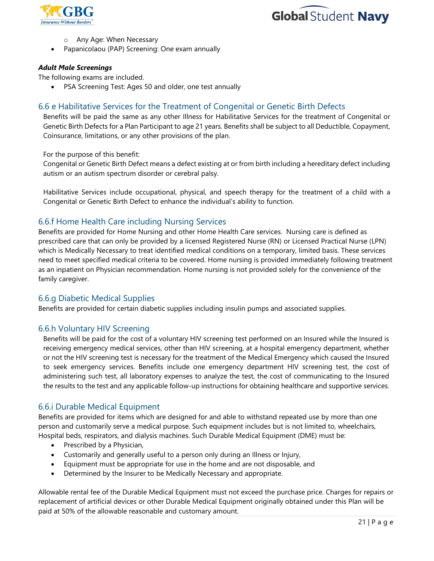



- o Any Age: When Necessary
- Papanicolaou (PAP) Screening: One exam annually

#### *Adult Male Screenings*

The following exams are included.

PSA Screening Test: Ages 50 and older, one test annually

#### 6.6 e Habilitative Services for the Treatment of Congenital or Genetic Birth Defects

Benefits will be paid the same as any other Illness for Habilitative Services for the treatment of Congenital or Genetic Birth Defects for a Plan Participant to age 21 years. Benefits shall be subject to all Deductible, Copayment, Coinsurance, limitations, or any other provisions of the plan.

For the purpose of this benefit:

Congenital or Genetic Birth Defect means a defect existing at or from birth including a hereditary defect including autism or an autism spectrum disorder or cerebral palsy.

Habilitative Services include occupational, physical, and speech therapy for the treatment of a child with a Congenital or Genetic Birth Defect to enhance the individual's ability to function.

#### 6.6.f Home Health Care including Nursing Services

Benefits are provided for Home Nursing and other Home Health Care services. Nursing care is defined as prescribed care that can only be provided by a licensed Registered Nurse (RN) or Licensed Practical Nurse (LPN) which is Medically Necessary to treat identified medical conditions on a temporary, limited basis. These services need to meet specified medical criteria to be covered. Home nursing is provided immediately following treatment as an inpatient on Physician recommendation. Home nursing is not provided solely for the convenience of the family caregiver.

#### 6.6.g Diabetic Medical Supplies

Benefits are provided for certain diabetic supplies including insulin pumps and associated supplies.

#### 6.6.h Voluntary HIV Screening

Benefits will be paid for the cost of a voluntary HIV screening test performed on an Insured while the Insured is receiving emergency medical services, other than HIV screening, at a hospital emergency department, whether or not the HIV screening test is necessary for the treatment of the Medical Emergency which caused the Insured to seek emergency services. Benefits include one emergency department HIV screening test, the cost of administering such test, all laboratory expenses to analyze the test, the cost of communicating to the Insured the results to the test and any applicable follow-up instructions for obtaining healthcare and supportive services.

#### 6.6.i Durable Medical Equipment

Benefits are provided for items which are designed for and able to withstand repeated use by more than one person and customarily serve a medical purpose. Such equipment includes but is not limited to, wheelchairs, Hospital beds, respirators, and dialysis machines. Such Durable Medical Equipment (DME) must be:

- Prescribed by a Physician,
- Customarily and generally useful to a person only during an Illness or Injury,
- Equipment must be appropriate for use in the home and are not disposable, and
- Determined by the Insurer to be Medically Necessary and appropriate.

Allowable rental fee of the Durable Medical Equipment must not exceed the purchase price. Charges for repairs or replacement of artificial devices or other Durable Medical Equipment originally obtained under this Plan will be paid at 50% of the allowable reasonable and customary amount.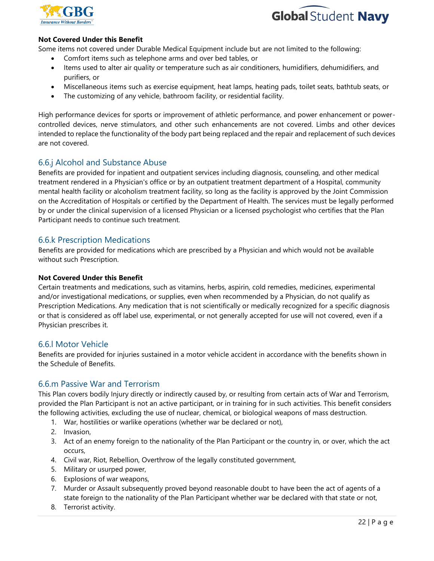



#### **Not Covered Under this Benefit**

Some items not covered under Durable Medical Equipment include but are not limited to the following:

- Comfort items such as telephone arms and over bed tables, or
- Items used to alter air quality or temperature such as air conditioners, humidifiers, dehumidifiers, and purifiers, or
- Miscellaneous items such as exercise equipment, heat lamps, heating pads, toilet seats, bathtub seats, or
- The customizing of any vehicle, bathroom facility, or residential facility.

High performance devices for sports or improvement of athletic performance, and power enhancement or powercontrolled devices, nerve stimulators, and other such enhancements are not covered. Limbs and other devices intended to replace the functionality of the body part being replaced and the repair and replacement of such devices are not covered.

## 6.6.j Alcohol and Substance Abuse

Benefits are provided for inpatient and outpatient services including diagnosis, counseling, and other medical treatment rendered in a Physician's office or by an outpatient treatment department of a Hospital, community mental health facility or alcoholism treatment facility, so long as the facility is approved by the Joint Commission on the Accreditation of Hospitals or certified by the Department of Health. The services must be legally performed by or under the clinical supervision of a licensed Physician or a licensed psychologist who certifies that the Plan Participant needs to continue such treatment.

#### 6.6.k Prescription Medications

Benefits are provided for medications which are prescribed by a Physician and which would not be available without such Prescription.

#### **Not Covered Under this Benefit**

Certain treatments and medications, such as vitamins, herbs, aspirin, cold remedies, medicines, experimental and/or investigational medications, or supplies, even when recommended by a Physician, do not qualify as Prescription Medications. Any medication that is not scientifically or medically recognized for a specific diagnosis or that is considered as off label use, experimental, or not generally accepted for use will not covered, even if a Physician prescribes it.

#### 6.6.l Motor Vehicle

Benefits are provided for injuries sustained in a motor vehicle accident in accordance with the benefits shown in the Schedule of Benefits.

#### 6.6.m Passive War and Terrorism

This Plan covers bodily Injury directly or indirectly caused by, or resulting from certain acts of War and Terrorism, provided the Plan Participant is not an active participant, or in training for in such activities. This benefit considers the following activities, excluding the use of nuclear, chemical, or biological weapons of mass destruction.

- 1. War, hostilities or warlike operations (whether war be declared or not),
- 2. Invasion,
- 3. Act of an enemy foreign to the nationality of the Plan Participant or the country in, or over, which the act occurs,
- 4. Civil war, Riot, Rebellion, Overthrow of the legally constituted government,
- 5. Military or usurped power,
- 6. Explosions of war weapons,
- 7. Murder or Assault subsequently proved beyond reasonable doubt to have been the act of agents of a state foreign to the nationality of the Plan Participant whether war be declared with that state or not,
- 8. Terrorist activity.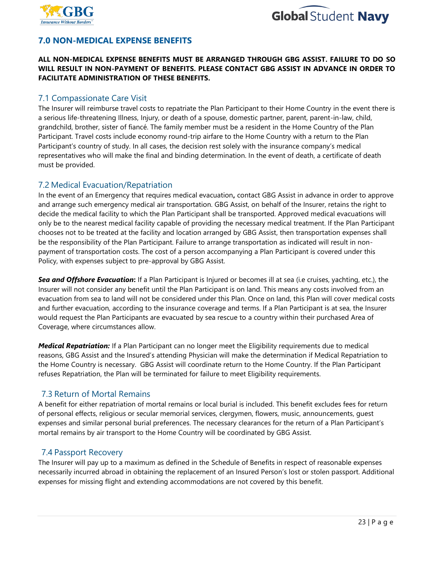



## **7.0 NON-MEDICAL EXPENSE BENEFITS**

#### **ALL NON-MEDICAL EXPENSE BENEFITS MUST BE ARRANGED THROUGH GBG ASSIST. FAILURE TO DO SO WILL RESULT IN NON-PAYMENT OF BENEFITS. PLEASE CONTACT GBG ASSIST IN ADVANCE IN ORDER TO FACILITATE ADMINISTRATION OF THESE BENEFITS.**

### 7.1 Compassionate Care Visit

The Insurer will reimburse travel costs to repatriate the Plan Participant to their Home Country in the event there is a serious life-threatening Illness, Injury, or death of a spouse, domestic partner, parent, parent-in-law, child, grandchild, brother, sister of fiancé. The family member must be a resident in the Home Country of the Plan Participant. Travel costs include economy round-trip airfare to the Home Country with a return to the Plan Participant's country of study. In all cases, the decision rest solely with the insurance company's medical representatives who will make the final and binding determination. In the event of death, a certificate of death must be provided.

#### 7.2 Medical Evacuation/Repatriation

In the event of an Emergency that requires medical evacuation**,** contact GBG Assist in advance in order to approve and arrange such emergency medical air transportation. GBG Assist, on behalf of the Insurer, retains the right to decide the medical facility to which the Plan Participant shall be transported. Approved medical evacuations will only be to the nearest medical facility capable of providing the necessary medical treatment. If the Plan Participant chooses not to be treated at the facility and location arranged by GBG Assist, then transportation expenses shall be the responsibility of the Plan Participant. Failure to arrange transportation as indicated will result in nonpayment of transportation costs. The cost of a person accompanying a Plan Participant is covered under this Policy, with expenses subject to pre-approval by GBG Assist.

*Sea and Offshore Evacuation***:** If a Plan Participant is Injured or becomes ill at sea (i.e cruises, yachting, etc.), the Insurer will not consider any benefit until the Plan Participant is on land. This means any costs involved from an evacuation from sea to land will not be considered under this Plan. Once on land, this Plan will cover medical costs and further evacuation, according to the insurance coverage and terms. If a Plan Participant is at sea, the Insurer would request the Plan Participants are evacuated by sea rescue to a country within their purchased Area of Coverage, where circumstances allow.

*Medical Repatriation:* If a Plan Participant can no longer meet the Eligibility requirements due to medical reasons, GBG Assist and the Insured's attending Physician will make the determination if Medical Repatriation to the Home Country is necessary. GBG Assist will coordinate return to the Home Country. If the Plan Participant refuses Repatriation, the Plan will be terminated for failure to meet Eligibility requirements.

## 7.3 Return of Mortal Remains

A benefit for either repatriation of mortal remains or local burial is included. This benefit excludes fees for return of personal effects, religious or secular memorial services, clergymen, flowers, music, announcements, guest expenses and similar personal burial preferences. The necessary clearances for the return of a Plan Participant's mortal remains by air transport to the Home Country will be coordinated by GBG Assist.

## 7.4 Passport Recovery

The Insurer will pay up to a maximum as defined in the Schedule of Benefits in respect of reasonable expenses necessarily incurred abroad in obtaining the replacement of an Insured Person's lost or stolen passport. Additional expenses for missing flight and extending accommodations are not covered by this benefit.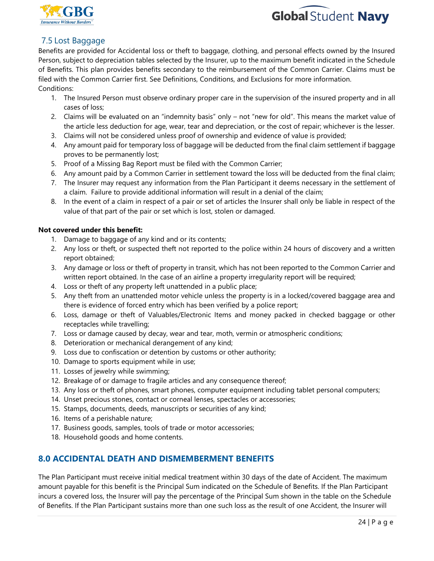



## 7.5 Lost Baggage

Benefits are provided for Accidental loss or theft to baggage, clothing, and personal effects owned by the Insured Person, subject to depreciation tables selected by the Insurer, up to the maximum benefit indicated in the Schedule of Benefits. This plan provides benefits secondary to the reimbursement of the Common Carrier. Claims must be filed with the Common Carrier first. See Definitions, Conditions, and Exclusions for more information. Conditions:

- 1. The Insured Person must observe ordinary proper care in the supervision of the insured property and in all cases of loss;
- 2. Claims will be evaluated on an "indemnity basis" only not "new for old". This means the market value of the article less deduction for age, wear, tear and depreciation, or the cost of repair; whichever is the lesser.
- 3. Claims will not be considered unless proof of ownership and evidence of value is provided;
- 4. Any amount paid for temporary loss of baggage will be deducted from the final claim settlement if baggage proves to be permanently lost;
- 5. Proof of a Missing Bag Report must be filed with the Common Carrier;
- 6. Any amount paid by a Common Carrier in settlement toward the loss will be deducted from the final claim;
- 7. The Insurer may request any information from the Plan Participant it deems necessary in the settlement of a claim. Failure to provide additional information will result in a denial of the claim;
- 8. In the event of a claim in respect of a pair or set of articles the Insurer shall only be liable in respect of the value of that part of the pair or set which is lost, stolen or damaged.

#### **Not covered under this benefit:**

- 1. Damage to baggage of any kind and or its contents;
- 2. Any loss or theft, or suspected theft not reported to the police within 24 hours of discovery and a written report obtained;
- 3. Any damage or loss or theft of property in transit, which has not been reported to the Common Carrier and written report obtained. In the case of an airline a property irregularity report will be required;
- 4. Loss or theft of any property left unattended in a public place;
- 5. Any theft from an unattended motor vehicle unless the property is in a locked/covered baggage area and there is evidence of forced entry which has been verified by a police report;
- 6. Loss, damage or theft of Valuables/Electronic Items and money packed in checked baggage or other receptacles while travelling;
- 7. Loss or damage caused by decay, wear and tear, moth, vermin or atmospheric conditions;
- 8. Deterioration or mechanical derangement of any kind;
- 9. Loss due to confiscation or detention by customs or other authority;
- 10. Damage to sports equipment while in use;
- 11. Losses of jewelry while swimming;
- 12. Breakage of or damage to fragile articles and any consequence thereof;
- 13. Any loss or theft of phones, smart phones, computer equipment including tablet personal computers;
- 14. Unset precious stones, contact or corneal lenses, spectacles or accessories;
- 15. Stamps, documents, deeds, manuscripts or securities of any kind;
- 16. Items of a perishable nature;
- 17. Business goods, samples, tools of trade or motor accessories;
- 18. Household goods and home contents.

## **8.0 ACCIDENTAL DEATH AND DISMEMBERMENT BENEFITS**

The Plan Participant must receive initial medical treatment within 30 days of the date of Accident. The maximum amount payable for this benefit is the Principal Sum indicated on the Schedule of Benefits. If the Plan Participant incurs a covered loss, the Insurer will pay the percentage of the Principal Sum shown in the table on the Schedule of Benefits. If the Plan Participant sustains more than one such loss as the result of one Accident, the Insurer will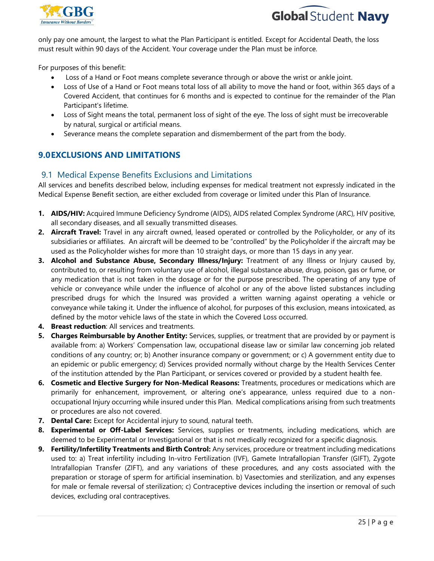



only pay one amount, the largest to what the Plan Participant is entitled. Except for Accidental Death, the loss must result within 90 days of the Accident. Your coverage under the Plan must be inforce.

For purposes of this benefit:

- Loss of a Hand or Foot means complete severance through or above the wrist or ankle joint.
- Loss of Use of a Hand or Foot means total loss of all ability to move the hand or foot, within 365 days of a Covered Accident, that continues for 6 months and is expected to continue for the remainder of the Plan Participant's lifetime.
- Loss of Sight means the total, permanent loss of sight of the eye. The loss of sight must be irrecoverable by natural, surgical or artificial means.
- Severance means the complete separation and dismemberment of the part from the body.

## **9.0EXCLUSIONS AND LIMITATIONS**

#### 9.1 Medical Expense Benefits Exclusions and Limitations

All services and benefits described below, including expenses for medical treatment not expressly indicated in the Medical Expense Benefit section, are either excluded from coverage or limited under this Plan of Insurance.

- **1. AIDS/HIV:** Acquired Immune Deficiency Syndrome (AIDS), AIDS related Complex Syndrome (ARC), HIV positive, all secondary diseases, and all sexually transmitted diseases.
- **2. Aircraft Travel:** Travel in any aircraft owned, leased operated or controlled by the Policyholder, or any of its subsidiaries or affiliates. An aircraft will be deemed to be "controlled" by the Policyholder if the aircraft may be used as the Policyholder wishes for more than 10 straight days, or more than 15 days in any year.
- **3. Alcohol and Substance Abuse, Secondary Illness/Injury:** Treatment of any Illness or Injury caused by, contributed to, or resulting from voluntary use of alcohol, illegal substance abuse, drug, poison, gas or fume, or any medication that is not taken in the dosage or for the purpose prescribed. The operating of any type of vehicle or conveyance while under the influence of alcohol or any of the above listed substances including prescribed drugs for which the Insured was provided a written warning against operating a vehicle or conveyance while taking it. Under the influence of alcohol, for purposes of this exclusion, means intoxicated, as defined by the motor vehicle laws of the state in which the Covered Loss occurred.
- **4. Breast reduction**: All services and treatments.
- **5. Charges Reimbursable by Another Entity:** Services, supplies, or treatment that are provided by or payment is available from: a) Workers' Compensation law, occupational disease law or similar law concerning job related conditions of any country; or; b) Another insurance company or government; or c) A government entity due to an epidemic or public emergency; d) Services provided normally without charge by the Health Services Center of the institution attended by the Plan Participant, or services covered or provided by a student health fee.
- **6. Cosmetic and Elective Surgery for Non-Medical Reasons:** Treatments, procedures or medications which are primarily for enhancement, improvement, or altering one's appearance, unless required due to a nonoccupational Injury occurring while insured under this Plan. Medical complications arising from such treatments or procedures are also not covered.
- **7. Dental Care:** Except for Accidental injury to sound, natural teeth.
- **8. Experimental or Off-Label Services:** Services, supplies or treatments, including medications, which are deemed to be Experimental or Investigational or that is not medically recognized for a specific diagnosis.
- **9. Fertility/Infertility Treatments and Birth Control:** Any services, procedure or treatment including medications used to: a) Treat infertility including In-vitro Fertilization (IVF), Gamete Intrafallopian Transfer (GIFT), Zygote Intrafallopian Transfer (ZIFT), and any variations of these procedures, and any costs associated with the preparation or storage of sperm for artificial insemination. b) Vasectomies and sterilization, and any expenses for male or female reversal of sterilization; c) Contraceptive devices including the insertion or removal of such devices, excluding oral contraceptives.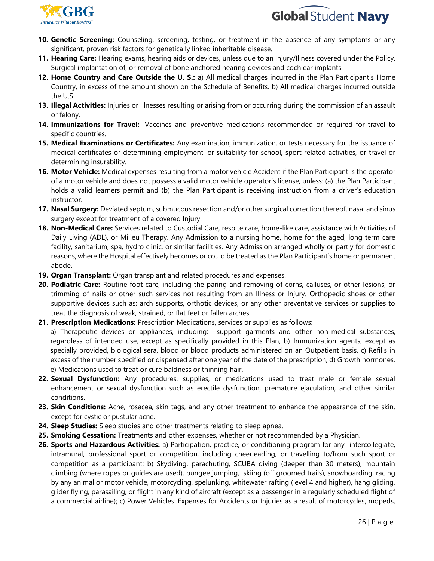



- **10. Genetic Screening:** Counseling, screening, testing, or treatment in the absence of any symptoms or any significant, proven risk factors for genetically linked inheritable disease.
- **11. Hearing Care:** Hearing exams, hearing aids or devices, unless due to an Injury/Illness covered under the Policy. Surgical implantation of, or removal of bone anchored hearing devices and cochlear implants.
- **12. Home Country and Care Outside the U. S.:** a) All medical charges incurred in the Plan Participant's Home Country, in excess of the amount shown on the Schedule of Benefits. b) All medical charges incurred outside the U.S.
- **13. Illegal Activities:** Injuries or Illnesses resulting or arising from or occurring during the commission of an assault or felony.
- **14. Immunizations for Travel:** Vaccines and preventive medications recommended or required for travel to specific countries.
- **15. Medical Examinations or Certificates:** Any examination, immunization, or tests necessary for the issuance of medical certificates or determining employment, or suitability for school, sport related activities, or travel or determining insurability.
- **16. Motor Vehicle:** Medical expenses resulting from a motor vehicle Accident if the Plan Participant is the operator of a motor vehicle and does not possess a valid motor vehicle operator's license, unless: (a) the Plan Participant holds a valid learners permit and (b) the Plan Participant is receiving instruction from a driver's education instructor.
- **17. Nasal Surgery:** Deviated septum, submucous resection and/or other surgical correction thereof, nasal and sinus surgery except for treatment of a covered Injury.
- **18. Non-Medical Care:** Services related to Custodial Care, respite care, home-like care, assistance with Activities of Daily Living (ADL), or Milieu Therapy. Any Admission to a nursing home, home for the aged, long term care facility, sanitarium, spa, hydro clinic, or similar facilities. Any Admission arranged wholly or partly for domestic reasons, where the Hospital effectively becomes or could be treated as the Plan Participant's home or permanent abode.
- **19. Organ Transplant:** Organ transplant and related procedures and expenses.
- **20. Podiatric Care:** Routine foot care, including the paring and removing of corns, calluses, or other lesions, or trimming of nails or other such services not resulting from an Illness or Injury. Orthopedic shoes or other supportive devices such as; arch supports, orthotic devices, or any other preventative services or supplies to treat the diagnosis of weak, strained, or flat feet or fallen arches.
- **21. Prescription Medications:** Prescription Medications, services or supplies as follows:

a) Therapeutic devices or appliances, including: support garments and other non-medical substances, regardless of intended use, except as specifically provided in this Plan, b) Immunization agents, except as specially provided, biological sera, blood or blood products administered on an Outpatient basis, c) Refills in excess of the number specified or dispensed after one year of the date of the prescription, d) Growth hormones, e) Medications used to treat or cure baldness or thinning hair.

- **22. Sexual Dysfunction:** Any procedures, supplies, or medications used to treat male or female sexual enhancement or sexual dysfunction such as erectile dysfunction, premature ejaculation, and other similar conditions.
- **23. Skin Conditions:** Acne, rosacea, skin tags, and any other treatment to enhance the appearance of the skin, except for cystic or pustular acne.
- **24. Sleep Studies:** Sleep studies and other treatments relating to sleep apnea.
- **25. Smoking Cessation:** Treatments and other expenses, whether or not recommended by a Physician.
- **26. Sports and Hazardous Activities:** a) Participation, practice, or conditioning program for any intercollegiate, intramural, professional sport or competition, including cheerleading, or travelling to/from such sport or competition as a participant; b) Skydiving, parachuting, SCUBA diving (deeper than 30 meters), mountain climbing (where ropes or guides are used), bungee jumping, skiing (off groomed trails), snowboarding, racing by any animal or motor vehicle, motorcycling, spelunking, whitewater rafting (level 4 and higher), hang gliding, glider flying, parasailing, or flight in any kind of aircraft (except as a passenger in a regularly scheduled flight of a commercial airline); c) Power Vehicles: Expenses for Accidents or Injuries as a result of motorcycles, mopeds,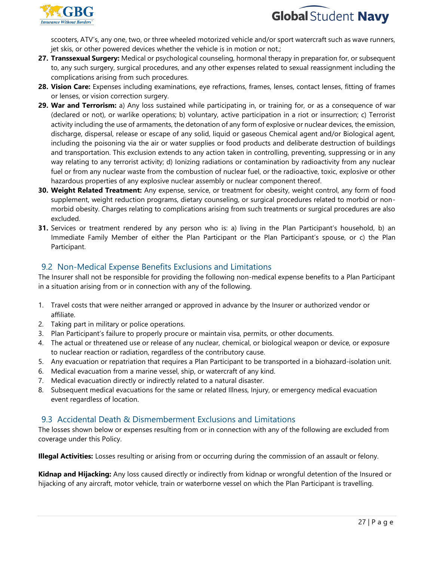



scooters, ATV's, any one, two, or three wheeled motorized vehicle and/or sport watercraft such as wave runners, jet skis, or other powered devices whether the vehicle is in motion or not.;

- **27. Transsexual Surgery:** Medical or psychological counseling, hormonal therapy in preparation for, or subsequent to, any such surgery, surgical procedures, and any other expenses related to sexual reassignment including the complications arising from such procedures.
- **28. Vision Care:** Expenses including examinations, eye refractions, frames, lenses, contact lenses, fitting of frames or lenses, or vision correction surgery.
- **29. War and Terrorism:** a) Any loss sustained while participating in, or training for, or as a consequence of war (declared or not), or warlike operations; b) voluntary, active participation in a riot or insurrection; c) Terrorist activity including the use of armaments, the detonation of any form of explosive or nuclear devices, the emission, discharge, dispersal, release or escape of any solid, liquid or gaseous Chemical agent and/or Biological agent, including the poisoning via the air or water supplies or food products and deliberate destruction of buildings and transportation. This exclusion extends to any action taken in controlling, preventing, suppressing or in any way relating to any terrorist activity; d) Ionizing radiations or contamination by radioactivity from any nuclear fuel or from any nuclear waste from the combustion of nuclear fuel, or the radioactive, toxic, explosive or other hazardous properties of any explosive nuclear assembly or nuclear component thereof.
- **30. Weight Related Treatment:** Any expense, service, or treatment for obesity, weight control, any form of food supplement, weight reduction programs, dietary counseling, or surgical procedures related to morbid or nonmorbid obesity. Charges relating to complications arising from such treatments or surgical procedures are also excluded.
- **31.** Services or treatment rendered by any person who is: a) living in the Plan Participant's household, b) an Immediate Family Member of either the Plan Participant or the Plan Participant's spouse, or c) the Plan Participant.

## 9.2 Non-Medical Expense Benefits Exclusions and Limitations

The Insurer shall not be responsible for providing the following non-medical expense benefits to a Plan Participant in a situation arising from or in connection with any of the following.

- 1. Travel costs that were neither arranged or approved in advance by the Insurer or authorized vendor or affiliate.
- 2. Taking part in military or police operations.
- 3. Plan Participant's failure to properly procure or maintain visa, permits, or other documents.
- 4. The actual or threatened use or release of any nuclear, chemical, or biological weapon or device, or exposure to nuclear reaction or radiation, regardless of the contributory cause.
- 5. Any evacuation or repatriation that requires a Plan Participant to be transported in a biohazard-isolation unit.
- 6. Medical evacuation from a marine vessel, ship, or watercraft of any kind.
- 7. Medical evacuation directly or indirectly related to a natural disaster.
- 8. Subsequent medical evacuations for the same or related Illness, Injury, or emergency medical evacuation event regardless of location.

## 9.3 Accidental Death & Dismemberment Exclusions and Limitations

The losses shown below or expenses resulting from or in connection with any of the following are excluded from coverage under this Policy.

**Illegal Activities:** Losses resulting or arising from or occurring during the commission of an assault or felony.

**Kidnap and Hijacking:** Any loss caused directly or indirectly from kidnap or wrongful detention of the Insured or hijacking of any aircraft, motor vehicle, train or waterborne vessel on which the Plan Participant is travelling.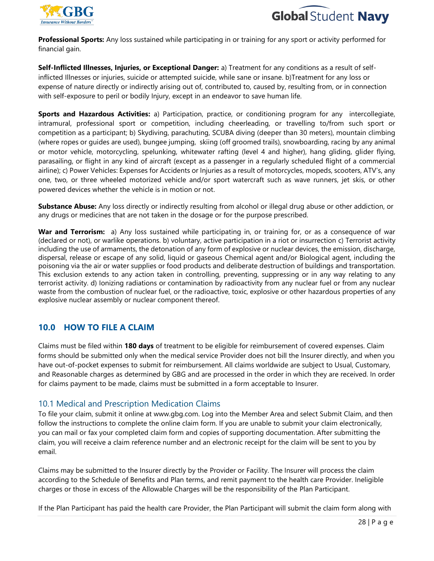



**Professional Sports:** Any loss sustained while participating in or training for any sport or activity performed for financial gain.

**Self-Inflicted Illnesses, Injuries, or Exceptional Danger:** a) Treatment for any conditions as a result of selfinflicted Illnesses or injuries, suicide or attempted suicide, while sane or insane. b)Treatment for any loss or expense of nature directly or indirectly arising out of, contributed to, caused by, resulting from, or in connection with self-exposure to peril or bodily Injury, except in an endeavor to save human life.

**Sports and Hazardous Activities:** a) Participation, practice, or conditioning program for any intercollegiate, intramural, professional sport or competition, including cheerleading, or travelling to/from such sport or competition as a participant; b) Skydiving, parachuting, SCUBA diving (deeper than 30 meters), mountain climbing (where ropes or guides are used), bungee jumping, skiing (off groomed trails), snowboarding, racing by any animal or motor vehicle, motorcycling, spelunking, whitewater rafting (level 4 and higher), hang gliding, glider flying, parasailing, or flight in any kind of aircraft (except as a passenger in a regularly scheduled flight of a commercial airline); c) Power Vehicles: Expenses for Accidents or Injuries as a result of motorcycles, mopeds, scooters, ATV's, any one, two, or three wheeled motorized vehicle and/or sport watercraft such as wave runners, jet skis, or other powered devices whether the vehicle is in motion or not.

**Substance Abuse:** Any loss directly or indirectly resulting from alcohol or illegal drug abuse or other addiction, or any drugs or medicines that are not taken in the dosage or for the purpose prescribed.

**War and Terrorism:** a) Any loss sustained while participating in, or training for, or as a consequence of war (declared or not), or warlike operations. b) voluntary, active participation in a riot or insurrection c) Terrorist activity including the use of armaments, the detonation of any form of explosive or nuclear devices, the emission, discharge, dispersal, release or escape of any solid, liquid or gaseous Chemical agent and/or Biological agent, including the poisoning via the air or water supplies or food products and deliberate destruction of buildings and transportation. This exclusion extends to any action taken in controlling, preventing, suppressing or in any way relating to any terrorist activity. d) Ionizing radiations or contamination by radioactivity from any nuclear fuel or from any nuclear waste from the combustion of nuclear fuel, or the radioactive, toxic, explosive or other hazardous properties of any explosive nuclear assembly or nuclear component thereof.

## **10.0 HOW TO FILE A CLAIM**

Claims must be filed within **180 days** of treatment to be eligible for reimbursement of covered expenses. Claim forms should be submitted only when the medical service Provider does not bill the Insurer directly, and when you have out-of-pocket expenses to submit for reimbursement. All claims worldwide are subject to Usual, Customary, and Reasonable charges as determined by GBG and are processed in the order in which they are received. In order for claims payment to be made, claims must be submitted in a form acceptable to Insurer.

#### 10.1 Medical and Prescription Medication Claims

To file your claim, submit it online at www.gbg.com. Log into the Member Area and select Submit Claim, and then follow the instructions to complete the online claim form. If you are unable to submit your claim electronically, you can mail or fax your completed claim form and copies of supporting documentation. After submitting the claim, you will receive a claim reference number and an electronic receipt for the claim will be sent to you by email.

Claims may be submitted to the Insurer directly by the Provider or Facility. The Insurer will process the claim according to the Schedule of Benefits and Plan terms, and remit payment to the health care Provider. Ineligible charges or those in excess of the Allowable Charges will be the responsibility of the Plan Participant.

If the Plan Participant has paid the health care Provider, the Plan Participant will submit the claim form along with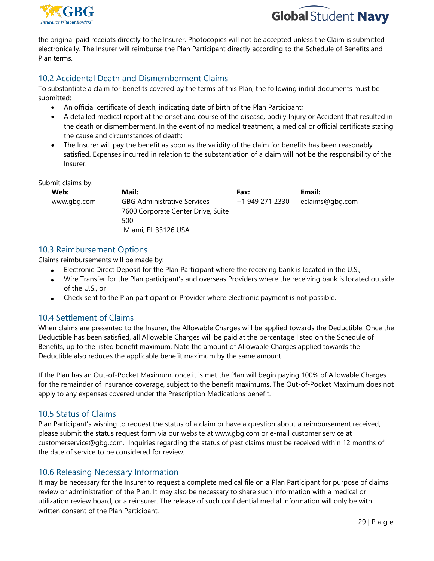



the original paid receipts directly to the Insurer. Photocopies will not be accepted unless the Claim is submitted electronically. The Insurer will reimburse the Plan Participant directly according to the Schedule of Benefits and Plan terms.

## 10.2 Accidental Death and Dismemberment Claims

To substantiate a claim for benefits covered by the terms of this Plan, the following initial documents must be submitted:

- An official certificate of death, indicating date of birth of the Plan Participant;
- A detailed medical report at the onset and course of the disease, bodily Injury or Accident that resulted in the death or dismemberment. In the event of no medical treatment, a medical or official certificate stating the cause and circumstances of death;
- The Insurer will pay the benefit as soon as the validity of the claim for benefits has been reasonably satisfied. Expenses incurred in relation to the substantiation of a claim will not be the responsibility of the Insurer.

Submit claims by:

| Web:        | Mail:                              | Fax:            | Email:          |
|-------------|------------------------------------|-----------------|-----------------|
| www.gbg.com | <b>GBG Administrative Services</b> | +1 949 271 2330 | eclaims@gbg.com |
|             | 7600 Corporate Center Drive, Suite |                 |                 |
|             | 500                                |                 |                 |
|             | Miami, FL 33126 USA                |                 |                 |

#### 10.3 Reimbursement Options

Claims reimbursements will be made by:

- Electronic Direct Deposit for the Plan Participant where the receiving bank is located in the U.S.,
- Wire Transfer for the Plan participant's and overseas Providers where the receiving bank is located outside of the U.S., or
- Check sent to the Plan participant or Provider where electronic payment is not possible.

## 10.4 Settlement of Claims

When claims are presented to the Insurer, the Allowable Charges will be applied towards the Deductible. Once the Deductible has been satisfied, all Allowable Charges will be paid at the percentage listed on the Schedule of Benefits, up to the listed benefit maximum. Note the amount of Allowable Charges applied towards the Deductible also reduces the applicable benefit maximum by the same amount.

If the Plan has an Out-of-Pocket Maximum, once it is met the Plan will begin paying 100% of Allowable Charges for the remainder of insurance coverage, subject to the benefit maximums. The Out-of-Pocket Maximum does not apply to any expenses covered under the Prescription Medications benefit.

## 10.5 Status of Claims

Plan Participant's wishing to request the status of a claim or have a question about a reimbursement received, please submit the status request form via our website at www.gbg.com or e-mail customer service at customerservice@gbg.com. Inquiries regarding the status of past claims must be received within 12 months of the date of service to be considered for review.

## 10.6 Releasing Necessary Information

It may be necessary for the Insurer to request a complete medical file on a Plan Participant for purpose of claims review or administration of the Plan. It may also be necessary to share such information with a medical or utilization review board, or a reinsurer. The release of such confidential medial information will only be with written consent of the Plan Participant.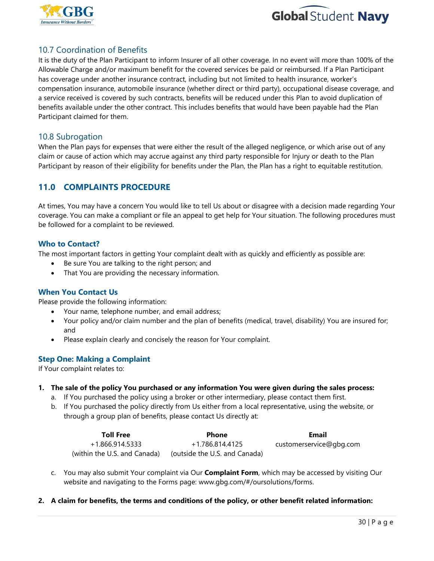



## 10.7 Coordination of Benefits

It is the duty of the Plan Participant to inform Insurer of all other coverage. In no event will more than 100% of the Allowable Charge and/or maximum benefit for the covered services be paid or reimbursed. If a Plan Participant has coverage under another insurance contract, including but not limited to health insurance, worker's compensation insurance, automobile insurance (whether direct or third party), occupational disease coverage, and a service received is covered by such contracts, benefits will be reduced under this Plan to avoid duplication of benefits available under the other contract. This includes benefits that would have been payable had the Plan Participant claimed for them.

#### 10.8 Subrogation

When the Plan pays for expenses that were either the result of the alleged negligence, or which arise out of any claim or cause of action which may accrue against any third party responsible for Injury or death to the Plan Participant by reason of their eligibility for benefits under the Plan, the Plan has a right to equitable restitution.

## **11.0 COMPLAINTS PROCEDURE**

At times, You may have a concern You would like to tell Us about or disagree with a decision made regarding Your coverage. You can make a compliant or file an appeal to get help for Your situation. The following procedures must be followed for a complaint to be reviewed.

#### **Who to Contact?**

The most important factors in getting Your complaint dealt with as quickly and efficiently as possible are:

- Be sure You are talking to the right person; and
- That You are providing the necessary information.

#### **When You Contact Us**

Please provide the following information:

- Your name, telephone number, and email address;
- Your policy and/or claim number and the plan of benefits (medical, travel, disability) You are insured for; and
- Please explain clearly and concisely the reason for Your complaint.

#### **Step One: Making a Complaint**

If Your complaint relates to:

- **1. The sale of the policy You purchased or any information You were given during the sales process:**
	- a. If You purchased the policy using a broker or other intermediary, please contact them first.
	- b. If You purchased the policy directly from Us either from a local representative, using the website, or through a group plan of benefits, please contact Us directly at:

| <b>Toll Free</b>             | <b>Phone</b>                  | Email                   |
|------------------------------|-------------------------------|-------------------------|
| +1.866.914.5333              | +1.786.814.4125               | customerservice@gbg.com |
| (within the U.S. and Canada) | (outside the U.S. and Canada) |                         |

- c. You may also submit Your complaint via Our **Complaint Form**, which may be accessed by visiting Our website and navigating to the Forms page: www.gbg.com/#/oursolutions/forms.
- **2. A claim for benefits, the terms and conditions of the policy, or other benefit related information:**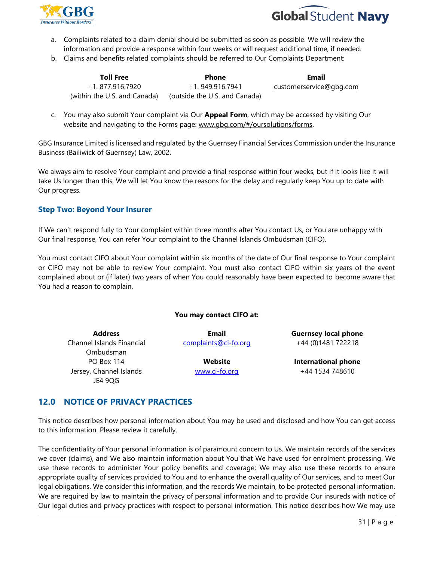



- a. Complaints related to a claim denial should be submitted as soon as possible. We will review the information and provide a response within four weeks or will request additional time, if needed.
- b. Claims and benefits related complaints should be referred to Our Complaints Department:

| <b>Toll Free</b>             | <b>Phone</b>                  | Email                   |
|------------------------------|-------------------------------|-------------------------|
| +1. 877.916.7920             | +1.949.916.7941               | customerservice@gbg.com |
| (within the U.S. and Canada) | (outside the U.S. and Canada) |                         |

c. You may also submit Your complaint via Our **Appeal Form**, which may be accessed by visiting Our website and navigating to the Forms page: [www.gbg.com/#/oursolutions/forms.](http://www.gbg.com/#/oursolutions/forms)

GBG Insurance Limited is licensed and regulated by the Guernsey Financial Services Commission under the Insurance Business (Bailiwick of Guernsey) Law, 2002.

We always aim to resolve Your complaint and provide a final response within four weeks, but if it looks like it will take Us longer than this, We will let You know the reasons for the delay and regularly keep You up to date with Our progress.

#### **Step Two: Beyond Your Insurer**

If We can't respond fully to Your complaint within three months after You contact Us, or You are unhappy with Our final response, You can refer Your complaint to the Channel Islands Ombudsman (CIFO).

You must contact CIFO about Your complaint within six months of the date of Our final response to Your complaint or CIFO may not be able to review Your complaint. You must also contact CIFO within six years of the event complained about or (if later) two years of when You could reasonably have been expected to become aware that You had a reason to complain.

#### **You may contact CIFO at:**

**Address** Channel Islands Financial Ombudsman PO Box 114 Jersey, Channel Islands JE4 9QG

**Email** [complaints@ci-fo.org](mailto:complaints@ci-fo.org)

> **Website** www.ci-fo.org

**Guernsey local phone** +44 (0)1481 722218

**International phone** +44 1534 748610

## **12.0 NOTICE OF PRIVACY PRACTICES**

This notice describes how personal information about You may be used and disclosed and how You can get access to this information. Please review it carefully.

The confidentiality of Your personal information is of paramount concern to Us. We maintain records of the services we cover (claims), and We also maintain information about You that We have used for enrolment processing. We use these records to administer Your policy benefits and coverage; We may also use these records to ensure appropriate quality of services provided to You and to enhance the overall quality of Our services, and to meet Our legal obligations. We consider this information, and the records We maintain, to be protected personal information. We are required by law to maintain the privacy of personal information and to provide Our insureds with notice of Our legal duties and privacy practices with respect to personal information. This notice describes how We may use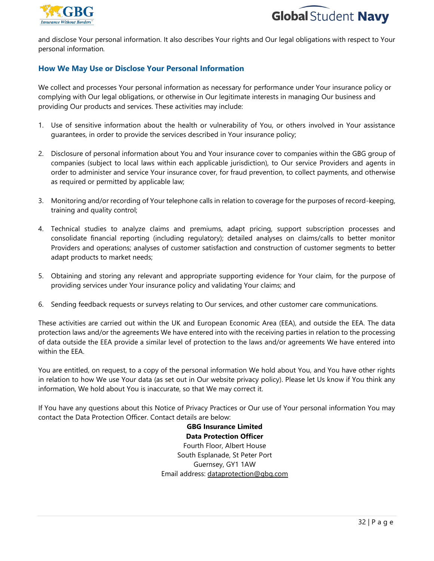



and disclose Your personal information. It also describes Your rights and Our legal obligations with respect to Your personal information*.* 

#### **How We May Use or Disclose Your Personal Information**

We collect and processes Your personal information as necessary for performance under Your insurance policy or complying with Our legal obligations, or otherwise in Our legitimate interests in managing Our business and providing Our products and services. These activities may include:

- 1. Use of sensitive information about the health or vulnerability of You, or others involved in Your assistance guarantees, in order to provide the services described in Your insurance policy;
- 2. Disclosure of personal information about You and Your insurance cover to companies within the GBG group of companies (subject to local laws within each applicable jurisdiction), to Our service Providers and agents in order to administer and service Your insurance cover, for fraud prevention, to collect payments, and otherwise as required or permitted by applicable law;
- 3. Monitoring and/or recording of Your telephone calls in relation to coverage for the purposes of record-keeping, training and quality control;
- 4. Technical studies to analyze claims and premiums, adapt pricing, support subscription processes and consolidate financial reporting (including regulatory); detailed analyses on claims/calls to better monitor Providers and operations; analyses of customer satisfaction and construction of customer segments to better adapt products to market needs;
- 5. Obtaining and storing any relevant and appropriate supporting evidence for Your claim, for the purpose of providing services under Your insurance policy and validating Your claims; and
- 6. Sending feedback requests or surveys relating to Our services, and other customer care communications.

These activities are carried out within the UK and European Economic Area (EEA), and outside the EEA. The data protection laws and/or the agreements We have entered into with the receiving parties in relation to the processing of data outside the EEA provide a similar level of protection to the laws and/or agreements We have entered into within the EEA.

You are entitled, on request, to a copy of the personal information We hold about You, and You have other rights in relation to how We use Your data (as set out in Our website privacy policy). Please let Us know if You think any information, We hold about You is inaccurate, so that We may correct it.

If You have any questions about this Notice of Privacy Practices or Our use of Your personal information You may contact the Data Protection Officer. Contact details are below:

> **GBG Insurance Limited Data Protection Officer** Fourth Floor, Albert House South Esplanade, St Peter Port Guernsey, GY1 1AW Email address: [dataprotection@gbg.com](mailto:dataprotectioninquiries@gbg.com)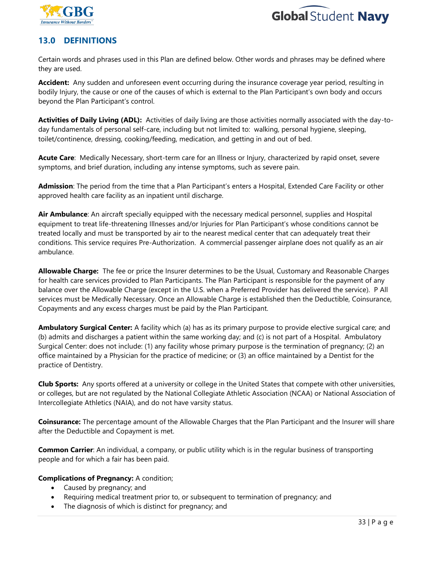



## **13.0 DEFINITIONS**

Certain words and phrases used in this Plan are defined below. Other words and phrases may be defined where they are used.

**Accident:** Any sudden and unforeseen event occurring during the insurance coverage year period, resulting in bodily Injury, the cause or one of the causes of which is external to the Plan Participant's own body and occurs beyond the Plan Participant's control.

**Activities of Daily Living (ADL):** Activities of daily living are those activities normally associated with the day-today fundamentals of personal self-care, including but not limited to: walking, personal hygiene, sleeping, toilet/continence, dressing, cooking/feeding, medication, and getting in and out of bed.

**Acute Care**: Medically Necessary, short-term care for an Illness or Injury, characterized by rapid onset, severe symptoms, and brief duration, including any intense symptoms, such as severe pain.

**Admission**: The period from the time that a Plan Participant's enters a Hospital, Extended Care Facility or other approved health care facility as an inpatient until discharge.

**Air Ambulance**: An aircraft specially equipped with the necessary medical personnel, supplies and Hospital equipment to treat life-threatening Illnesses and/or Injuries for Plan Participant's whose conditions cannot be treated locally and must be transported by air to the nearest medical center that can adequately treat their conditions. This service requires Pre-Authorization. A commercial passenger airplane does not qualify as an air ambulance.

**Allowable Charge:** The fee or price the Insurer determines to be the Usual, Customary and Reasonable Charges for health care services provided to Plan Participants. The Plan Participant is responsible for the payment of any balance over the Allowable Charge (except in the U.S. when a Preferred Provider has delivered the service). P All services must be Medically Necessary. Once an Allowable Charge is established then the Deductible, Coinsurance, Copayments and any excess charges must be paid by the Plan Participant.

**Ambulatory Surgical Center:** A facility which (a) has as its primary purpose to provide elective surgical care; and (b) admits and discharges a patient within the same working day; and (c) is not part of a Hospital. Ambulatory Surgical Center: does not include: (1) any facility whose primary purpose is the termination of pregnancy; (2) an office maintained by a Physician for the practice of medicine; or (3) an office maintained by a Dentist for the practice of Dentistry.

**Club Sports:** Any sports offered at a university or college in the United States that compete with other universities, or colleges, but are not regulated by the National Collegiate Athletic Association (NCAA) or National Association of Intercollegiate Athletics (NAIA), and do not have varsity status.

**Coinsurance:** The percentage amount of the Allowable Charges that the Plan Participant and the Insurer will share after the Deductible and Copayment is met.

**Common Carrier**: An individual, a company, or public utility which is in the regular business of transporting people and for which a fair has been paid.

#### **Complications of Pregnancy:** A condition;

- Caused by pregnancy; and
- Requiring medical treatment prior to, or subsequent to termination of pregnancy; and
- The diagnosis of which is distinct for pregnancy; and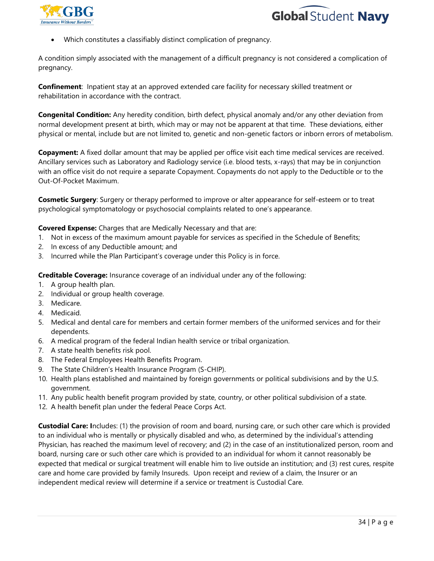



• Which constitutes a classifiably distinct complication of pregnancy.

A condition simply associated with the management of a difficult pregnancy is not considered a complication of pregnancy.

**Confinement**: Inpatient stay at an approved extended care facility for necessary skilled treatment or rehabilitation in accordance with the contract.

**Congenital Condition:** Any heredity condition, birth defect, physical anomaly and/or any other deviation from normal development present at birth, which may or may not be apparent at that time. These deviations, either physical or mental, include but are not limited to, genetic and non-genetic factors or inborn errors of metabolism.

**Copayment:** A fixed dollar amount that may be applied per office visit each time medical services are received. Ancillary services such as Laboratory and Radiology service (i.e. blood tests, x-rays) that may be in conjunction with an office visit do not require a separate Copayment. Copayments do not apply to the Deductible or to the Out-Of-Pocket Maximum.

**Cosmetic Surgery**: Surgery or therapy performed to improve or alter appearance for self-esteem or to treat psychological symptomatology or psychosocial complaints related to one's appearance.

**Covered Expense:** Charges that are Medically Necessary and that are:

- 1. Not in excess of the maximum amount payable for services as specified in the Schedule of Benefits;
- 2. In excess of any Deductible amount; and
- 3. Incurred while the Plan Participant's coverage under this Policy is in force.

**Creditable Coverage:** Insurance coverage of an individual under any of the following:

- 1. A group health plan.
- 2. Individual or group health coverage.
- 3. Medicare.
- 4. Medicaid.
- 5. Medical and dental care for members and certain former members of the uniformed services and for their dependents.
- 6. A medical program of the federal Indian health service or tribal organization.
- 7. A state health benefits risk pool.
- 8. The Federal Employees Health Benefits Program.
- 9. The State Children's Health Insurance Program (S-CHIP).
- 10. Health plans established and maintained by foreign governments or political subdivisions and by the U.S. government.
- 11. Any public health benefit program provided by state, country, or other political subdivision of a state.
- 12. A health benefit plan under the federal Peace Corps Act.

**Custodial Care: I**ncludes: (1) the provision of room and board, nursing care, or such other care which is provided to an individual who is mentally or physically disabled and who, as determined by the individual's attending Physician, has reached the maximum level of recovery; and (2) in the case of an institutionalized person, room and board, nursing care or such other care which is provided to an individual for whom it cannot reasonably be expected that medical or surgical treatment will enable him to live outside an institution; and (3) rest cures, respite care and home care provided by family Insureds. Upon receipt and review of a claim, the Insurer or an independent medical review will determine if a service or treatment is Custodial Care.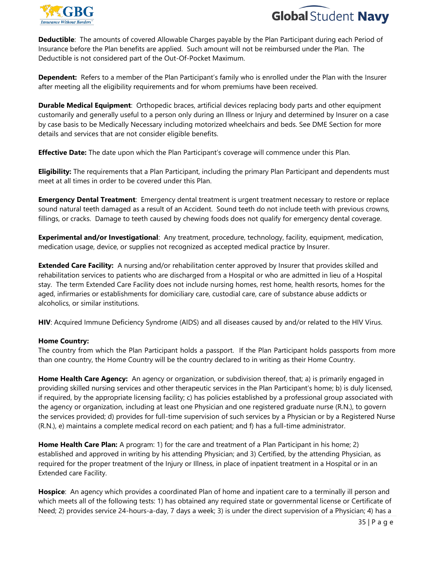



**Deductible**: The amounts of covered Allowable Charges payable by the Plan Participant during each Period of Insurance before the Plan benefits are applied. Such amount will not be reimbursed under the Plan. The Deductible is not considered part of the Out-Of-Pocket Maximum.

**Dependent:** Refers to a member of the Plan Participant's family who is enrolled under the Plan with the Insurer after meeting all the eligibility requirements and for whom premiums have been received.

**Durable Medical Equipment**: Orthopedic braces, artificial devices replacing body parts and other equipment customarily and generally useful to a person only during an Illness or Injury and determined by Insurer on a case by case basis to be Medically Necessary including motorized wheelchairs and beds. See DME Section for more details and services that are not consider eligible benefits.

**Effective Date:** The date upon which the Plan Participant's coverage will commence under this Plan.

**Eligibility:** The requirements that a Plan Participant, including the primary Plan Participant and dependents must meet at all times in order to be covered under this Plan.

**Emergency Dental Treatment**: Emergency dental treatment is urgent treatment necessary to restore or replace sound natural teeth damaged as a result of an Accident. Sound teeth do not include teeth with previous crowns, fillings, or cracks. Damage to teeth caused by chewing foods does not qualify for emergency dental coverage.

**Experimental and/or Investigational**: Any treatment, procedure, technology, facility, equipment, medication, medication usage, device, or supplies not recognized as accepted medical practice by Insurer.

**Extended Care Facility:** A nursing and/or rehabilitation center approved by Insurer that provides skilled and rehabilitation services to patients who are discharged from a Hospital or who are admitted in lieu of a Hospital stay. The term Extended Care Facility does not include nursing homes, rest home, health resorts, homes for the aged, infirmaries or establishments for domiciliary care, custodial care, care of substance abuse addicts or alcoholics, or similar institutions.

**HIV**: Acquired Immune Deficiency Syndrome (AIDS) and all diseases caused by and/or related to the HIV Virus.

#### **Home Country:**

The country from which the Plan Participant holds a passport. If the Plan Participant holds passports from more than one country, the Home Country will be the country declared to in writing as their Home Country.

**Home Health Care Agency:** An agency or organization, or subdivision thereof, that; a) is primarily engaged in providing skilled nursing services and other therapeutic services in the Plan Participant's home; b) is duly licensed, if required, by the appropriate licensing facility; c) has policies established by a professional group associated with the agency or organization, including at least one Physician and one registered graduate nurse (R.N.), to govern the services provided; d) provides for full-time supervision of such services by a Physician or by a Registered Nurse (R.N.), e) maintains a complete medical record on each patient; and f) has a full-time administrator.

**Home Health Care Plan:** A program: 1) for the care and treatment of a Plan Participant in his home; 2) established and approved in writing by his attending Physician; and 3) Certified, by the attending Physician, as required for the proper treatment of the Injury or Illness, in place of inpatient treatment in a Hospital or in an Extended care Facility.

**Hospice**: An agency which provides a coordinated Plan of home and inpatient care to a terminally ill person and which meets all of the following tests: 1) has obtained any required state or governmental license or Certificate of Need; 2) provides service 24-hours-a-day, 7 days a week; 3) is under the direct supervision of a Physician; 4) has a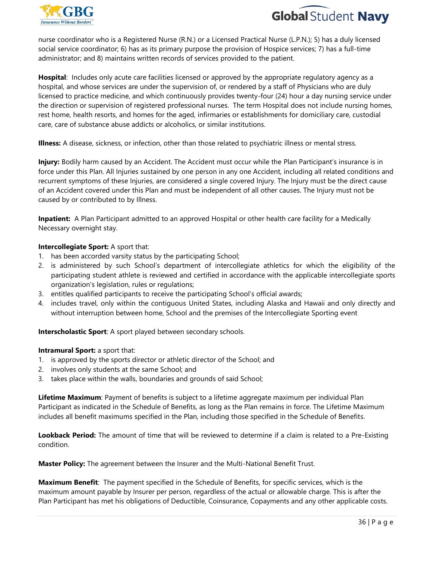



nurse coordinator who is a Registered Nurse (R.N.) or a Licensed Practical Nurse (L.P.N.); 5) has a duly licensed social service coordinator; 6) has as its primary purpose the provision of Hospice services; 7) has a full-time administrator; and 8) maintains written records of services provided to the patient.

**Hospital**: Includes only acute care facilities licensed or approved by the appropriate regulatory agency as a hospital, and whose services are under the supervision of, or rendered by a staff of Physicians who are duly licensed to practice medicine, and which continuously provides twenty-four (24) hour a day nursing service under the direction or supervision of registered professional nurses. The term Hospital does not include nursing homes, rest home, health resorts, and homes for the aged, infirmaries or establishments for domiciliary care, custodial care, care of substance abuse addicts or alcoholics, or similar institutions.

**Illness:** A disease, sickness, or infection, other than those related to psychiatric illness or mental stress.

**Injury:** Bodily harm caused by an Accident. The Accident must occur while the Plan Participant's insurance is in force under this Plan. All Injuries sustained by one person in any one Accident, including all related conditions and recurrent symptoms of these Injuries, are considered a single covered Injury. The Injury must be the direct cause of an Accident covered under this Plan and must be independent of all other causes. The Injury must not be caused by or contributed to by Illness.

**Inpatient:** A Plan Participant admitted to an approved Hospital or other health care facility for a Medically Necessary overnight stay.

#### **Intercollegiate Sport:** A sport that:

- 1. has been accorded varsity status by the participating School;
- 2. is administered by such School's department of intercollegiate athletics for which the eligibility of the participating student athlete is reviewed and certified in accordance with the applicable intercollegiate sports organization's legislation, rules or regulations;
- 3. entitles qualified participants to receive the participating School's official awards;
- 4. includes travel, only within the contiguous United States, including Alaska and Hawaii and only directly and without interruption between home, School and the premises of the Intercollegiate Sporting event

**Interscholastic Sport**: A sport played between secondary schools.

#### **Intramural Sport:** a sport that:

- 1. is approved by the sports director or athletic director of the School; and
- 2. involves only students at the same School; and
- 3. takes place within the walls, boundaries and grounds of said School;

**Lifetime Maximum**: Payment of benefits is subject to a lifetime aggregate maximum per individual Plan Participant as indicated in the Schedule of Benefits, as long as the Plan remains in force. The Lifetime Maximum includes all benefit maximums specified in the Plan, including those specified in the Schedule of Benefits.

**Lookback Period:** The amount of time that will be reviewed to determine if a claim is related to a Pre-Existing condition.

**Master Policy:** The agreement between the Insurer and the Multi-National Benefit Trust.

**Maximum Benefit**: The payment specified in the Schedule of Benefits, for specific services, which is the maximum amount payable by Insurer per person, regardless of the actual or allowable charge. This is after the Plan Participant has met his obligations of Deductible, Coinsurance, Copayments and any other applicable costs.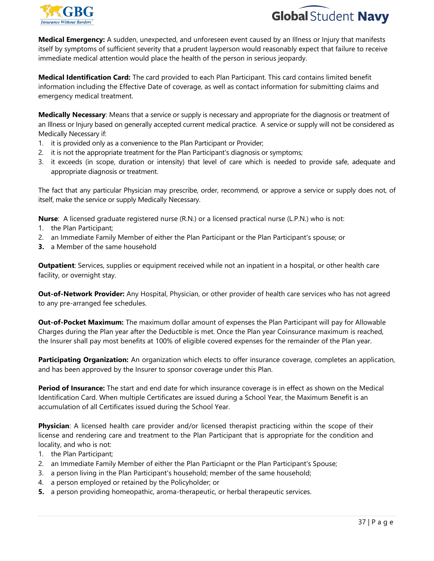



**Medical Emergency:** A sudden, unexpected, and unforeseen event caused by an Illness or Injury that manifests itself by symptoms of sufficient severity that a prudent layperson would reasonably expect that failure to receive immediate medical attention would place the health of the person in serious jeopardy.

**Medical Identification Card:** The card provided to each Plan Participant. This card contains limited benefit information including the Effective Date of coverage, as well as contact information for submitting claims and emergency medical treatment.

**Medically Necessary**: Means that a service or supply is necessary and appropriate for the diagnosis or treatment of an Illness or Injury based on generally accepted current medical practice. A service or supply will not be considered as Medically Necessary if:

- 1. it is provided only as a convenience to the Plan Participant or Provider;
- 2. it is not the appropriate treatment for the Plan Participant's diagnosis or symptoms;
- 3. it exceeds (in scope, duration or intensity) that level of care which is needed to provide safe, adequate and appropriate diagnosis or treatment.

The fact that any particular Physician may prescribe, order, recommend, or approve a service or supply does not, of itself, make the service or supply Medically Necessary.

**Nurse**: A licensed graduate registered nurse (R.N.) or a licensed practical nurse (L.P.N.) who is not:

- 1. the Plan Participant;
- 2. an Immediate Family Member of either the Plan Participant or the Plan Participant's spouse; or
- **3.** a Member of the same household

**Outpatient**: Services, supplies or equipment received while not an inpatient in a hospital, or other health care facility, or overnight stay.

**Out-of-Network Provider:** Any Hospital, Physician, or other provider of health care services who has not agreed to any pre-arranged fee schedules.

**Out-of-Pocket Maximum:** The maximum dollar amount of expenses the Plan Participant will pay for Allowable Charges during the Plan year after the Deductible is met. Once the Plan year Coinsurance maximum is reached, the Insurer shall pay most benefits at 100% of eligible covered expenses for the remainder of the Plan year.

**Participating Organization:** An organization which elects to offer insurance coverage, completes an application, and has been approved by the Insurer to sponsor coverage under this Plan.

**Period of Insurance:** The start and end date for which insurance coverage is in effect as shown on the Medical Identification Card. When multiple Certificates are issued during a School Year, the Maximum Benefit is an accumulation of all Certificates issued during the School Year.

**Physician**: A licensed health care provider and/or licensed therapist practicing within the scope of their license and rendering care and treatment to the Plan Participant that is appropriate for the condition and locality, and who is not:

- 1. the Plan Participant;
- 2. an Immediate Family Member of either the Plan Particiapnt or the Plan Participant's Spouse;
- 3. a person living in the Plan Participant's household; member of the same household;
- 4. a person employed or retained by the Policyholder; or
- **5.** a person providing homeopathic, aroma-therapeutic, or herbal therapeutic services.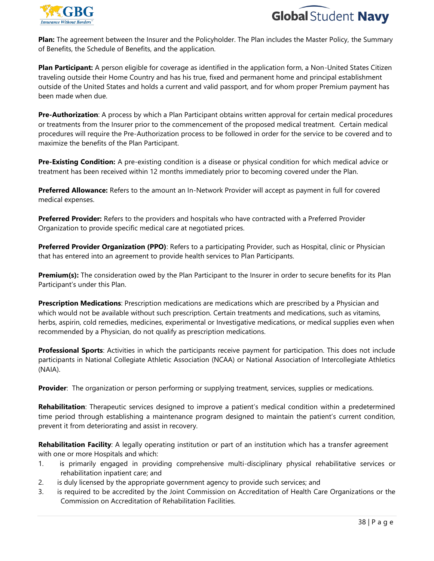



**Plan:** The agreement between the Insurer and the Policyholder. The Plan includes the Master Policy, the Summary of Benefits, the Schedule of Benefits, and the application.

**Plan Participant:** A person eligible for coverage as identified in the application form, a Non-United States Citizen traveling outside their Home Country and has his true, fixed and permanent home and principal establishment outside of the United States and holds a current and valid passport, and for whom proper Premium payment has been made when due.

**Pre-Authorization**: A process by which a Plan Participant obtains written approval for certain medical procedures or treatments from the Insurer prior to the commencement of the proposed medical treatment. Certain medical procedures will require the Pre-Authorization process to be followed in order for the service to be covered and to maximize the benefits of the Plan Participant.

**Pre-Existing Condition:** A pre-existing condition is a disease or physical condition for which medical advice or treatment has been received within 12 months immediately prior to becoming covered under the Plan.

**Preferred Allowance:** Refers to the amount an In-Network Provider will accept as payment in full for covered medical expenses.

**Preferred Provider:** Refers to the providers and hospitals who have contracted with a Preferred Provider Organization to provide specific medical care at negotiated prices.

**Preferred Provider Organization (PPO)**: Refers to a participating Provider, such as Hospital, clinic or Physician that has entered into an agreement to provide health services to Plan Participants.

**Premium(s):** The consideration owed by the Plan Participant to the Insurer in order to secure benefits for its Plan Participant's under this Plan.

**Prescription Medications**: Prescription medications are medications which are prescribed by a Physician and which would not be available without such prescription. Certain treatments and medications, such as vitamins, herbs, aspirin, cold remedies, medicines, experimental or Investigative medications, or medical supplies even when recommended by a Physician, do not qualify as prescription medications.

**Professional Sports**: Activities in which the participants receive payment for participation. This does not include participants in National Collegiate Athletic Association (NCAA) or National Association of Intercollegiate Athletics (NAIA).

**Provider**: The organization or person performing or supplying treatment, services, supplies or medications.

**Rehabilitation**: Therapeutic services designed to improve a patient's medical condition within a predetermined time period through establishing a maintenance program designed to maintain the patient's current condition, prevent it from deteriorating and assist in recovery.

**Rehabilitation Facility**: A legally operating institution or part of an institution which has a transfer agreement with one or more Hospitals and which:

- 1. is primarily engaged in providing comprehensive multi-disciplinary physical rehabilitative services or rehabilitation inpatient care; and
- 2. is duly licensed by the appropriate government agency to provide such services; and
- 3. is required to be accredited by the Joint Commission on Accreditation of Health Care Organizations or the Commission on Accreditation of Rehabilitation Facilities.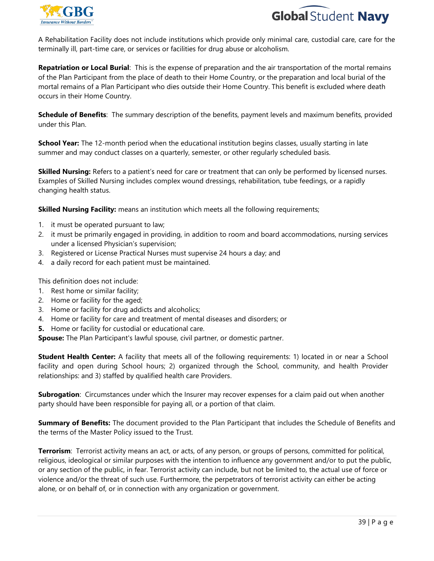



A Rehabilitation Facility does not include institutions which provide only minimal care, custodial care, care for the terminally ill, part-time care, or services or facilities for drug abuse or alcoholism.

**Repatriation or Local Burial**: This is the expense of preparation and the air transportation of the mortal remains of the Plan Participant from the place of death to their Home Country, or the preparation and local burial of the mortal remains of a Plan Participant who dies outside their Home Country. This benefit is excluded where death occurs in their Home Country.

**Schedule of Benefits**: The summary description of the benefits, payment levels and maximum benefits, provided under this Plan.

**School Year:** The 12-month period when the educational institution begins classes, usually starting in late summer and may conduct classes on a quarterly, semester, or other regularly scheduled basis.

**Skilled Nursing:** Refers to a patient's need for care or treatment that can only be performed by licensed nurses. Examples of Skilled Nursing includes complex wound dressings, rehabilitation, tube feedings, or a rapidly changing health status.

**Skilled Nursing Facility:** means an institution which meets all the following requirements;

- 1. it must be operated pursuant to law;
- 2. it must be primarily engaged in providing, in addition to room and board accommodations, nursing services under a licensed Physician's supervision;
- 3. Registered or License Practical Nurses must supervise 24 hours a day; and
- 4. a daily record for each patient must be maintained.

This definition does not include:

- 1. Rest home or similar facility;
- 2. Home or facility for the aged;
- 3. Home or facility for drug addicts and alcoholics;
- 4. Home or facility for care and treatment of mental diseases and disorders; or
- **5.** Home or facility for custodial or educational care.

**Spouse:** The Plan Participant's lawful spouse, civil partner, or domestic partner.

**Student Health Center:** A facility that meets all of the following requirements: 1) located in or near a School facility and open during School hours; 2) organized through the School, community, and health Provider relationships: and 3) staffed by qualified health care Providers.

**Subrogation**: Circumstances under which the Insurer may recover expenses for a claim paid out when another party should have been responsible for paying all, or a portion of that claim.

**Summary of Benefits:** The document provided to the Plan Participant that includes the Schedule of Benefits and the terms of the Master Policy issued to the Trust.

**Terrorism**: Terrorist activity means an act, or acts, of any person, or groups of persons, committed for political, religious, ideological or similar purposes with the intention to influence any government and/or to put the public, or any section of the public, in fear. Terrorist activity can include, but not be limited to, the actual use of force or violence and/or the threat of such use. Furthermore, the perpetrators of terrorist activity can either be acting alone, or on behalf of, or in connection with any organization or government.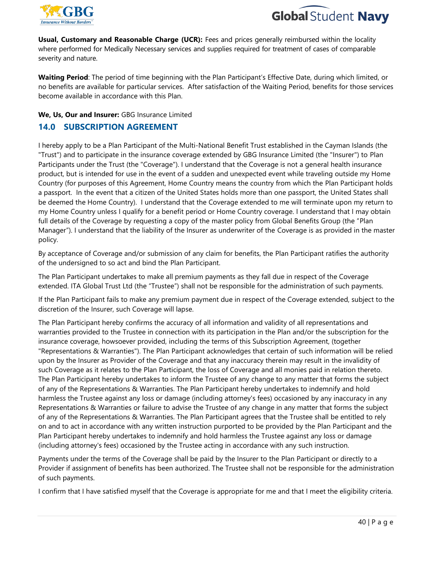



**Usual, Customary and Reasonable Charge (UCR):** Fees and prices generally reimbursed within the locality where performed for Medically Necessary services and supplies required for treatment of cases of comparable severity and nature.

**Waiting Period**: The period of time beginning with the Plan Participant's Effective Date, during which limited, or no benefits are available for particular services. After satisfaction of the Waiting Period, benefits for those services become available in accordance with this Plan.

#### **We, Us, Our and Insurer:** GBG Insurance Limited

#### **14.0 SUBSCRIPTION AGREEMENT**

I hereby apply to be a Plan Participant of the Multi-National Benefit Trust established in the Cayman Islands (the "Trust") and to participate in the insurance coverage extended by GBG Insurance Limited (the "Insurer") to Plan Participants under the Trust (the "Coverage"). I understand that the Coverage is not a general health insurance product, but is intended for use in the event of a sudden and unexpected event while traveling outside my Home Country (for purposes of this Agreement, Home Country means the country from which the Plan Participant holds a passport. In the event that a citizen of the United States holds more than one passport, the United States shall be deemed the Home Country). I understand that the Coverage extended to me will terminate upon my return to my Home Country unless I qualify for a benefit period or Home Country coverage. I understand that I may obtain full details of the Coverage by requesting a copy of the master policy from Global Benefits Group (the "Plan Manager"). I understand that the liability of the Insurer as underwriter of the Coverage is as provided in the master policy.

By acceptance of Coverage and/or submission of any claim for benefits, the Plan Participant ratifies the authority of the undersigned to so act and bind the Plan Participant.

The Plan Participant undertakes to make all premium payments as they fall due in respect of the Coverage extended. ITA Global Trust Ltd (the "Trustee") shall not be responsible for the administration of such payments.

If the Plan Participant fails to make any premium payment due in respect of the Coverage extended, subject to the discretion of the Insurer, such Coverage will lapse.

The Plan Participant hereby confirms the accuracy of all information and validity of all representations and warranties provided to the Trustee in connection with its participation in the Plan and/or the subscription for the insurance coverage, howsoever provided, including the terms of this Subscription Agreement, (together "Representations & Warranties"). The Plan Participant acknowledges that certain of such information will be relied upon by the Insurer as Provider of the Coverage and that any inaccuracy therein may result in the invalidity of such Coverage as it relates to the Plan Participant, the loss of Coverage and all monies paid in relation thereto. The Plan Participant hereby undertakes to inform the Trustee of any change to any matter that forms the subject of any of the Representations & Warranties. The Plan Participant hereby undertakes to indemnify and hold harmless the Trustee against any loss or damage (including attorney's fees) occasioned by any inaccuracy in any Representations & Warranties or failure to advise the Trustee of any change in any matter that forms the subject of any of the Representations & Warranties. The Plan Participant agrees that the Trustee shall be entitled to rely on and to act in accordance with any written instruction purported to be provided by the Plan Participant and the Plan Participant hereby undertakes to indemnify and hold harmless the Trustee against any loss or damage (including attorney's fees) occasioned by the Trustee acting in accordance with any such instruction.

Payments under the terms of the Coverage shall be paid by the Insurer to the Plan Participant or directly to a Provider if assignment of benefits has been authorized. The Trustee shall not be responsible for the administration of such payments.

I confirm that I have satisfied myself that the Coverage is appropriate for me and that I meet the eligibility criteria.